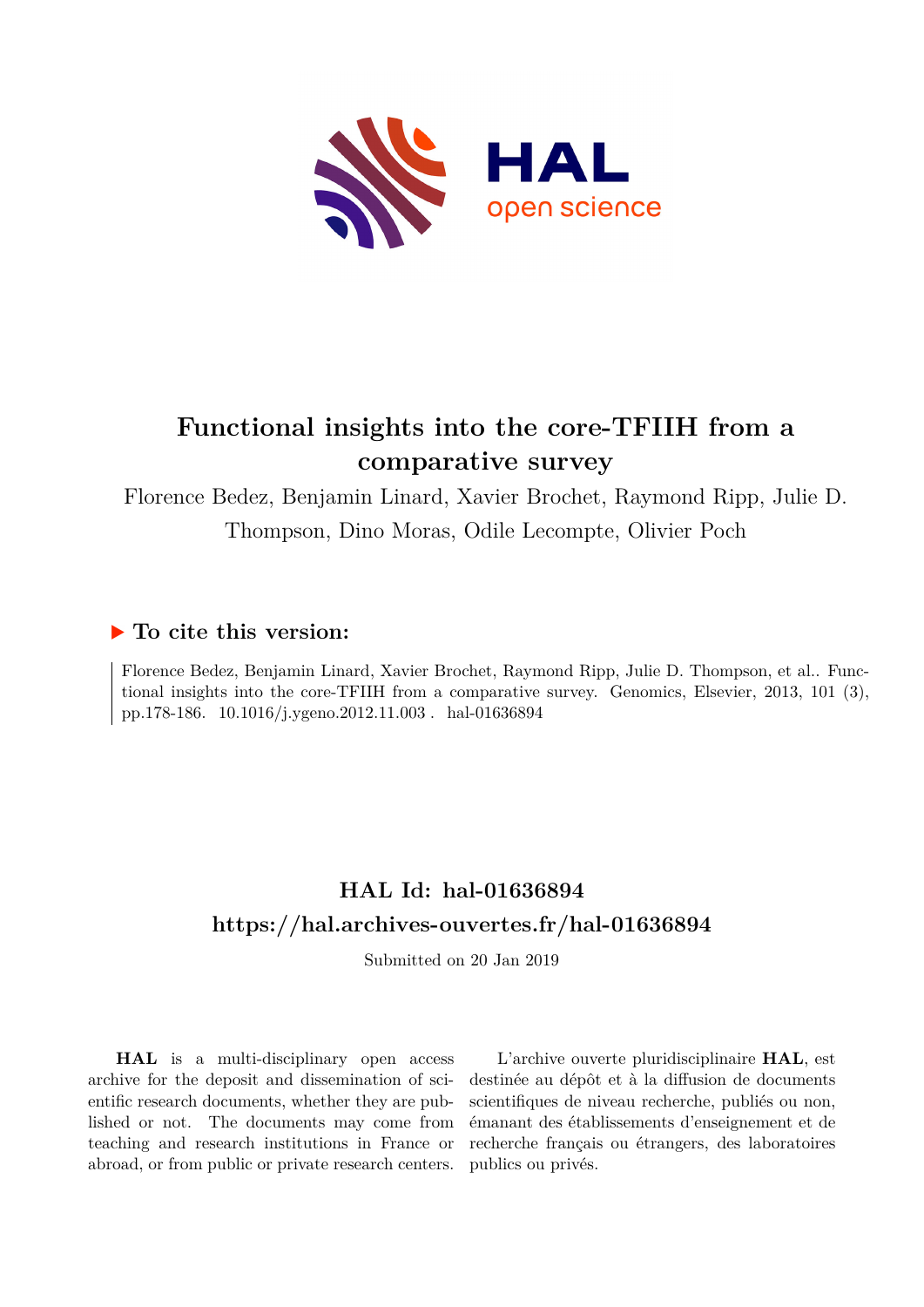

# **Functional insights into the core-TFIIH from a comparative survey**

Florence Bedez, Benjamin Linard, Xavier Brochet, Raymond Ripp, Julie D. Thompson, Dino Moras, Odile Lecompte, Olivier Poch

# **To cite this version:**

Florence Bedez, Benjamin Linard, Xavier Brochet, Raymond Ripp, Julie D. Thompson, et al.. Functional insights into the core-TFIIH from a comparative survey. Genomics, Elsevier, 2013, 101 (3), pp.178-186. 10.1016/j.ygeno.2012.11.003. hal-01636894

# **HAL Id: hal-01636894 <https://hal.archives-ouvertes.fr/hal-01636894>**

Submitted on 20 Jan 2019

**HAL** is a multi-disciplinary open access archive for the deposit and dissemination of scientific research documents, whether they are published or not. The documents may come from teaching and research institutions in France or abroad, or from public or private research centers.

L'archive ouverte pluridisciplinaire **HAL**, est destinée au dépôt et à la diffusion de documents scientifiques de niveau recherche, publiés ou non, émanant des établissements d'enseignement et de recherche français ou étrangers, des laboratoires publics ou privés.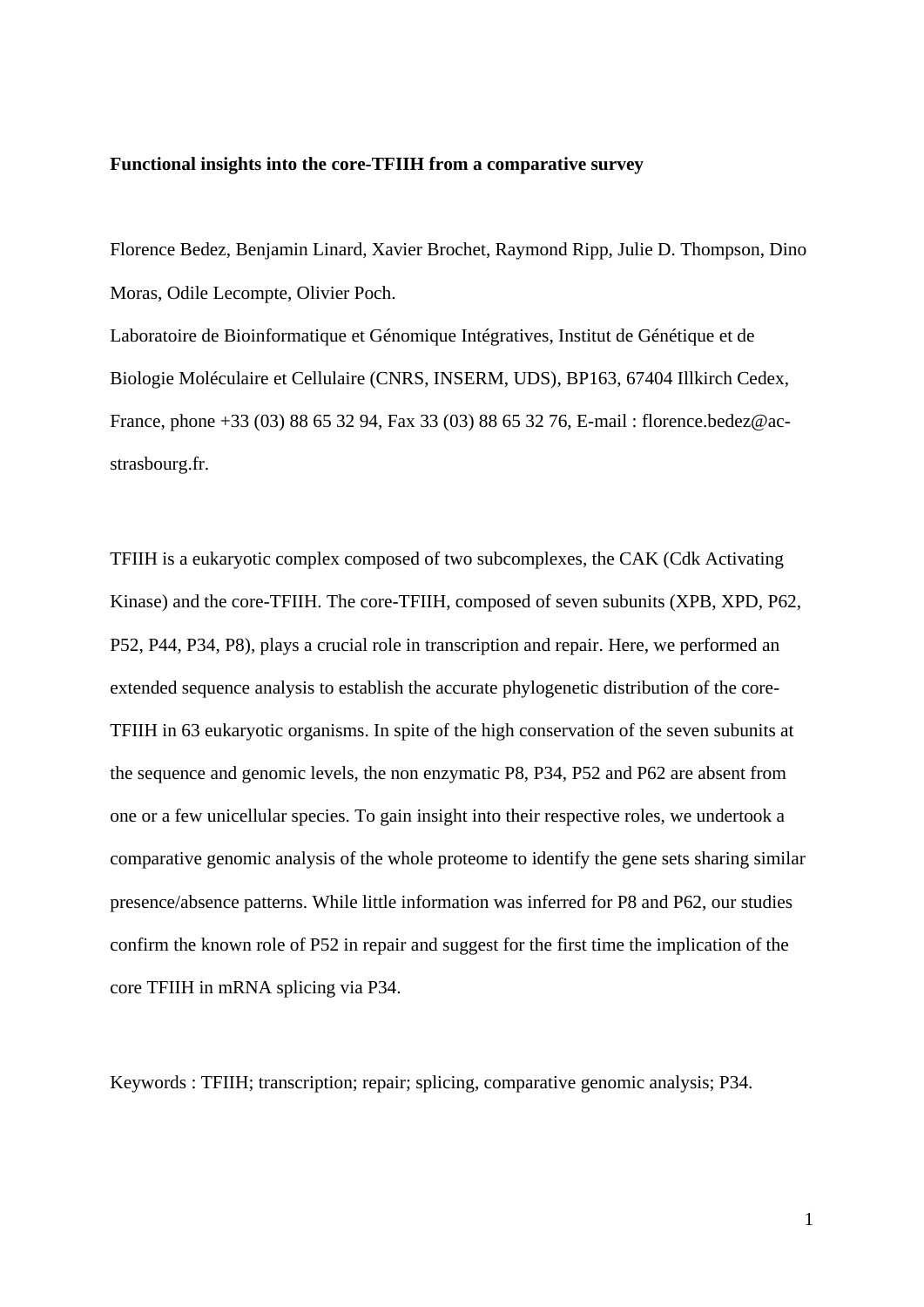# **Functional insights into the core-TFIIH from a comparative survey**

Florence Bedez, Benjamin Linard, Xavier Brochet, Raymond Ripp, Julie D. Thompson, Dino Moras, Odile Lecompte, Olivier Poch.

Laboratoire de Bioinformatique et Génomique Intégratives, Institut de Génétique et de Biologie Moléculaire et Cellulaire (CNRS, INSERM, UDS), BP163, 67404 Illkirch Cedex, France, phone +33 (03) 88 65 32 94, Fax 33 (03) 88 65 32 76, E-mail : florence.bedez@acstrasbourg.fr.

TFIIH is a eukaryotic complex composed of two subcomplexes, the CAK (Cdk Activating Kinase) and the core-TFIIH. The core-TFIIH, composed of seven subunits (XPB, XPD, P62, P52, P44, P34, P8), plays a crucial role in transcription and repair. Here, we performed an extended sequence analysis to establish the accurate phylogenetic distribution of the core-TFIIH in 63 eukaryotic organisms. In spite of the high conservation of the seven subunits at the sequence and genomic levels, the non enzymatic P8, P34, P52 and P62 are absent from one or a few unicellular species. To gain insight into their respective roles, we undertook a comparative genomic analysis of the whole proteome to identify the gene sets sharing similar presence/absence patterns. While little information was inferred for P8 and P62, our studies confirm the known role of P52 in repair and suggest for the first time the implication of the core TFIIH in mRNA splicing via P34.

Keywords : TFIIH; transcription; repair; splicing, comparative genomic analysis; P34.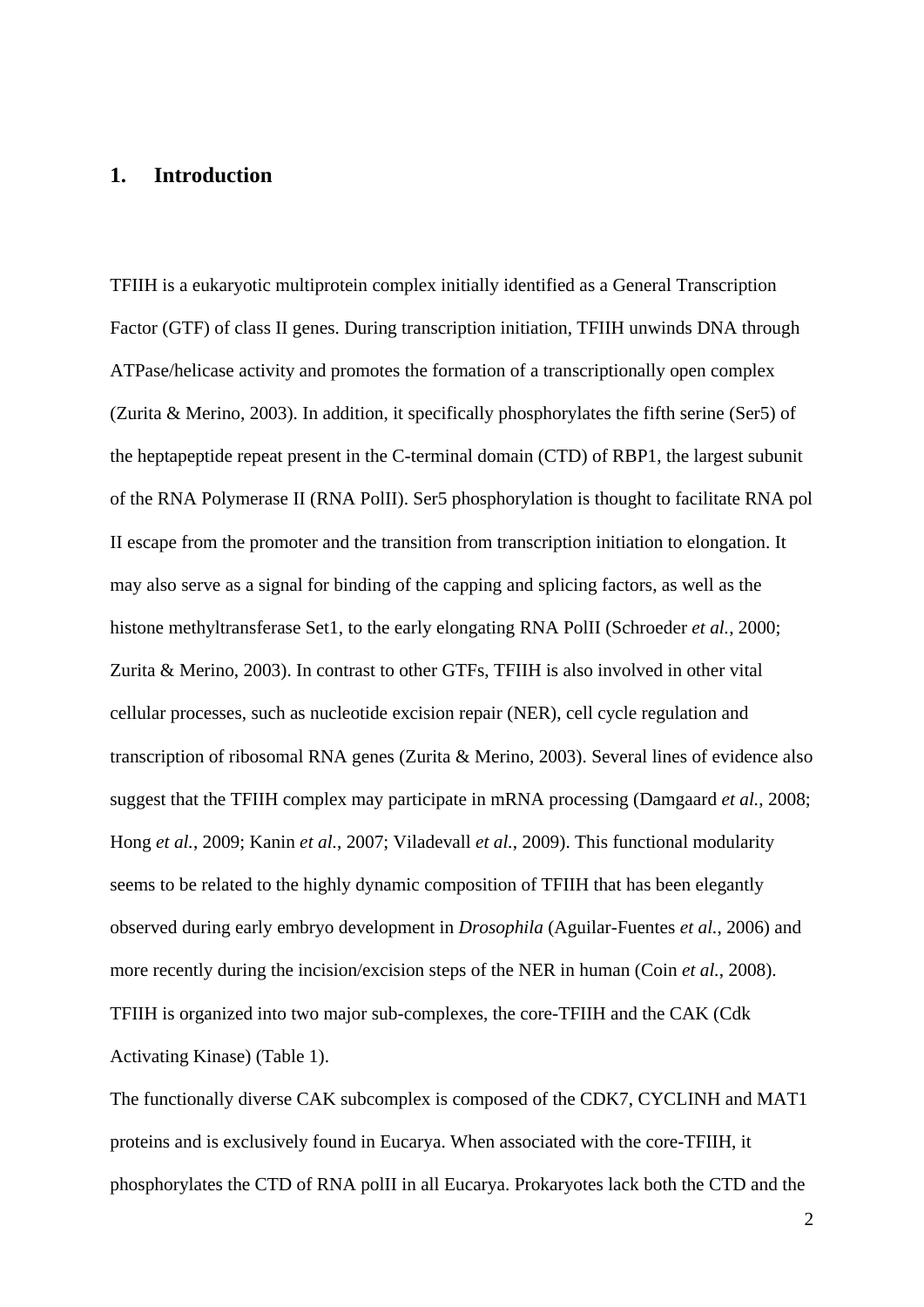# **1. Introduction**

TFIIH is a eukaryotic multiprotein complex initially identified as a General Transcription Factor (GTF) of class II genes. During transcription initiation, TFIIH unwinds DNA through ATPase/helicase activity and promotes the formation of a transcriptionally open complex (Zurita & Merino, 2003). In addition, it specifically phosphorylates the fifth serine (Ser5) of the heptapeptide repeat present in the C-terminal domain (CTD) of RBP1, the largest subunit of the RNA Polymerase II (RNA PolII). Ser5 phosphorylation is thought to facilitate RNA pol II escape from the promoter and the transition from transcription initiation to elongation. It may also serve as a signal for binding of the capping and splicing factors, as well as the histone methyltransferase Set1, to the early elongating RNA PolII (Schroeder *et al.*, 2000; Zurita & Merino, 2003). In contrast to other GTFs, TFIIH is also involved in other vital cellular processes, such as nucleotide excision repair (NER), cell cycle regulation and transcription of ribosomal RNA genes (Zurita & Merino, 2003). Several lines of evidence also suggest that the TFIIH complex may participate in mRNA processing (Damgaard *et al.*, 2008; Hong *et al.*, 2009; Kanin *et al.*, 2007; Viladevall *et al.*, 2009). This functional modularity seems to be related to the highly dynamic composition of TFIIH that has been elegantly observed during early embryo development in *Drosophila* (Aguilar-Fuentes *et al.*, 2006) and more recently during the incision/excision steps of the NER in human (Coin *et al.*, 2008). TFIIH is organized into two major sub-complexes, the core-TFIIH and the CAK (Cdk Activating Kinase) (Table 1).

The functionally diverse CAK subcomplex is composed of the CDK7, CYCLINH and MAT1 proteins and is exclusively found in Eucarya. When associated with the core-TFIIH, it phosphorylates the CTD of RNA polII in all Eucarya. Prokaryotes lack both the CTD and the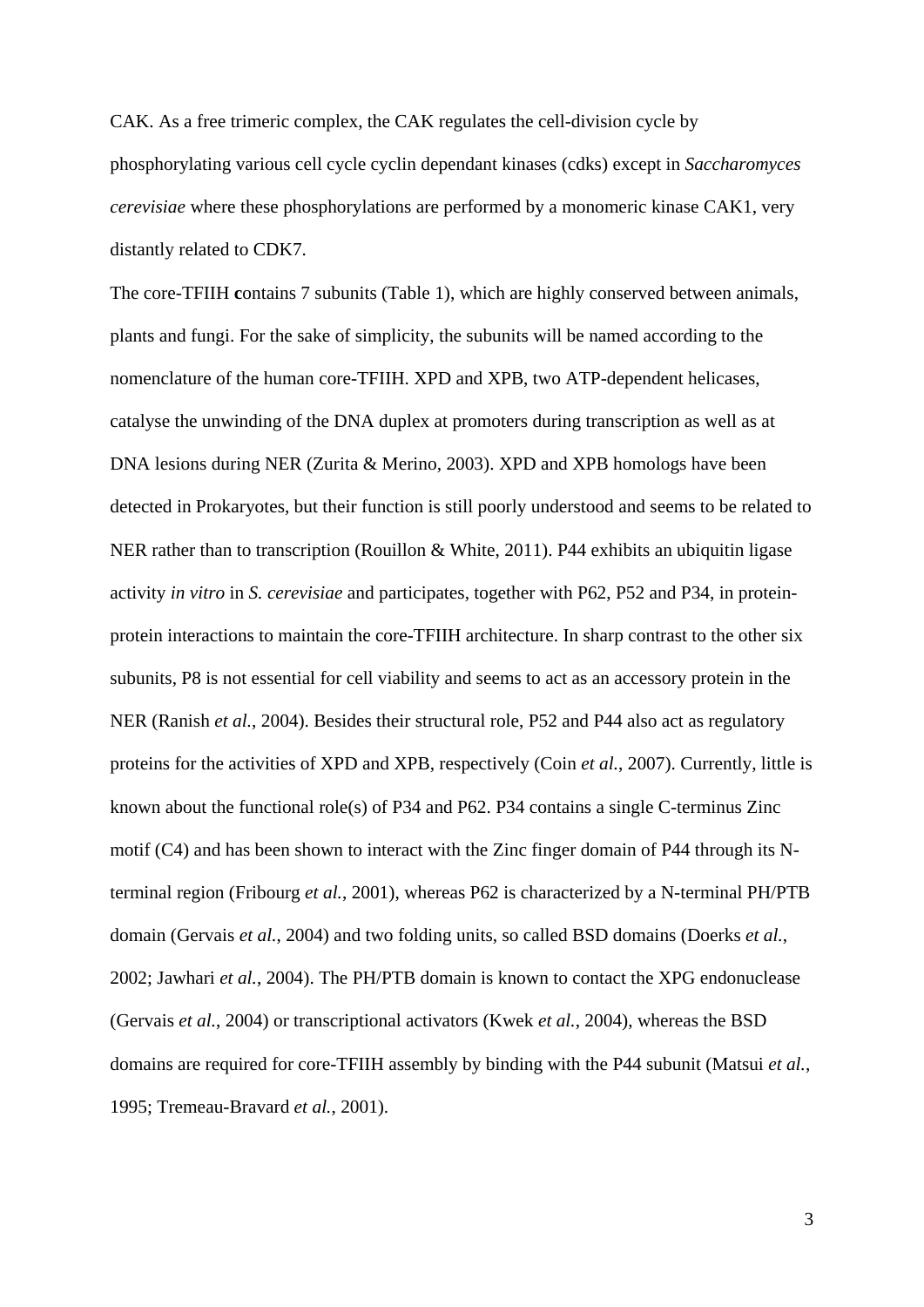CAK. As a free trimeric complex, the CAK regulates the cell-division cycle by phosphorylating various cell cycle cyclin dependant kinases (cdks) except in *Saccharomyces cerevisiae* where these phosphorylations are performed by a monomeric kinase CAK1, very distantly related to CDK7.

The core-TFIIH **c**ontains 7 subunits (Table 1), which are highly conserved between animals, plants and fungi. For the sake of simplicity, the subunits will be named according to the nomenclature of the human core-TFIIH. XPD and XPB, two ATP-dependent helicases, catalyse the unwinding of the DNA duplex at promoters during transcription as well as at DNA lesions during NER (Zurita & Merino, 2003). XPD and XPB homologs have been detected in Prokaryotes, but their function is still poorly understood and seems to be related to NER rather than to transcription (Rouillon & White, 2011). P44 exhibits an ubiquitin ligase activity *in vitro* in *S. cerevisiae* and participates, together with P62, P52 and P34, in proteinprotein interactions to maintain the core-TFIIH architecture. In sharp contrast to the other six subunits, P8 is not essential for cell viability and seems to act as an accessory protein in the NER (Ranish *et al.*, 2004). Besides their structural role, P52 and P44 also act as regulatory proteins for the activities of XPD and XPB, respectively (Coin *et al.*, 2007). Currently, little is known about the functional role(s) of P34 and P62. P34 contains a single C-terminus Zinc motif (C4) and has been shown to interact with the Zinc finger domain of P44 through its Nterminal region (Fribourg *et al.*, 2001), whereas P62 is characterized by a N-terminal PH/PTB domain (Gervais *et al.*, 2004) and two folding units, so called BSD domains (Doerks *et al.*, 2002; Jawhari *et al.*, 2004). The PH/PTB domain is known to contact the XPG endonuclease (Gervais *et al.*, 2004) or transcriptional activators (Kwek *et al.*, 2004), whereas the BSD domains are required for core-TFIIH assembly by binding with the P44 subunit (Matsui *et al.*, 1995; Tremeau-Bravard *et al.*, 2001).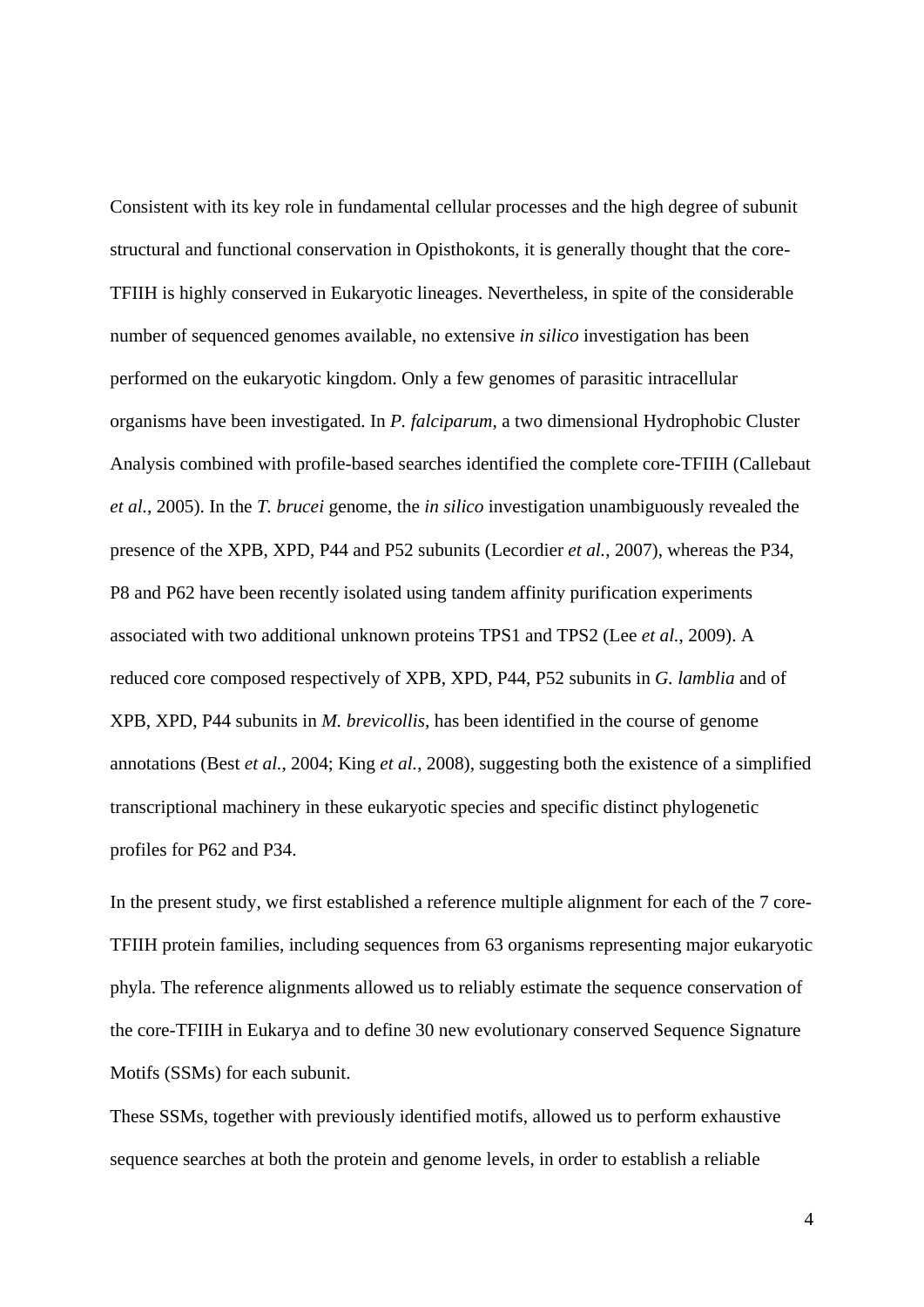Consistent with its key role in fundamental cellular processes and the high degree of subunit structural and functional conservation in Opisthokonts, it is generally thought that the core-TFIIH is highly conserved in Eukaryotic lineages. Nevertheless, in spite of the considerable number of sequenced genomes available, no extensive *in silico* investigation has been performed on the eukaryotic kingdom. Only a few genomes of parasitic intracellular organisms have been investigated. In *P. falciparum,* a two dimensional Hydrophobic Cluster Analysis combined with profile-based searches identified the complete core-TFIIH (Callebaut *et al.*, 2005). In the *T. brucei* genome, the *in silico* investigation unambiguously revealed the presence of the XPB, XPD, P44 and P52 subunits (Lecordier *et al.*, 2007), whereas the P34, P8 and P62 have been recently isolated using tandem affinity purification experiments associated with two additional unknown proteins TPS1 and TPS2 (Lee *et al.*, 2009). A reduced core composed respectively of XPB, XPD, P44, P52 subunits in *G. lamblia* and of XPB, XPD, P44 subunits in *M. brevicollis,* has been identified in the course of genome annotations (Best *et al.*, 2004; King *et al.*, 2008), suggesting both the existence of a simplified transcriptional machinery in these eukaryotic species and specific distinct phylogenetic profiles for P62 and P34.

In the present study, we first established a reference multiple alignment for each of the 7 core-TFIIH protein families, including sequences from 63 organisms representing major eukaryotic phyla. The reference alignments allowed us to reliably estimate the sequence conservation of the core-TFIIH in Eukarya and to define 30 new evolutionary conserved Sequence Signature Motifs (SSMs) for each subunit.

These SSMs, together with previously identified motifs, allowed us to perform exhaustive sequence searches at both the protein and genome levels, in order to establish a reliable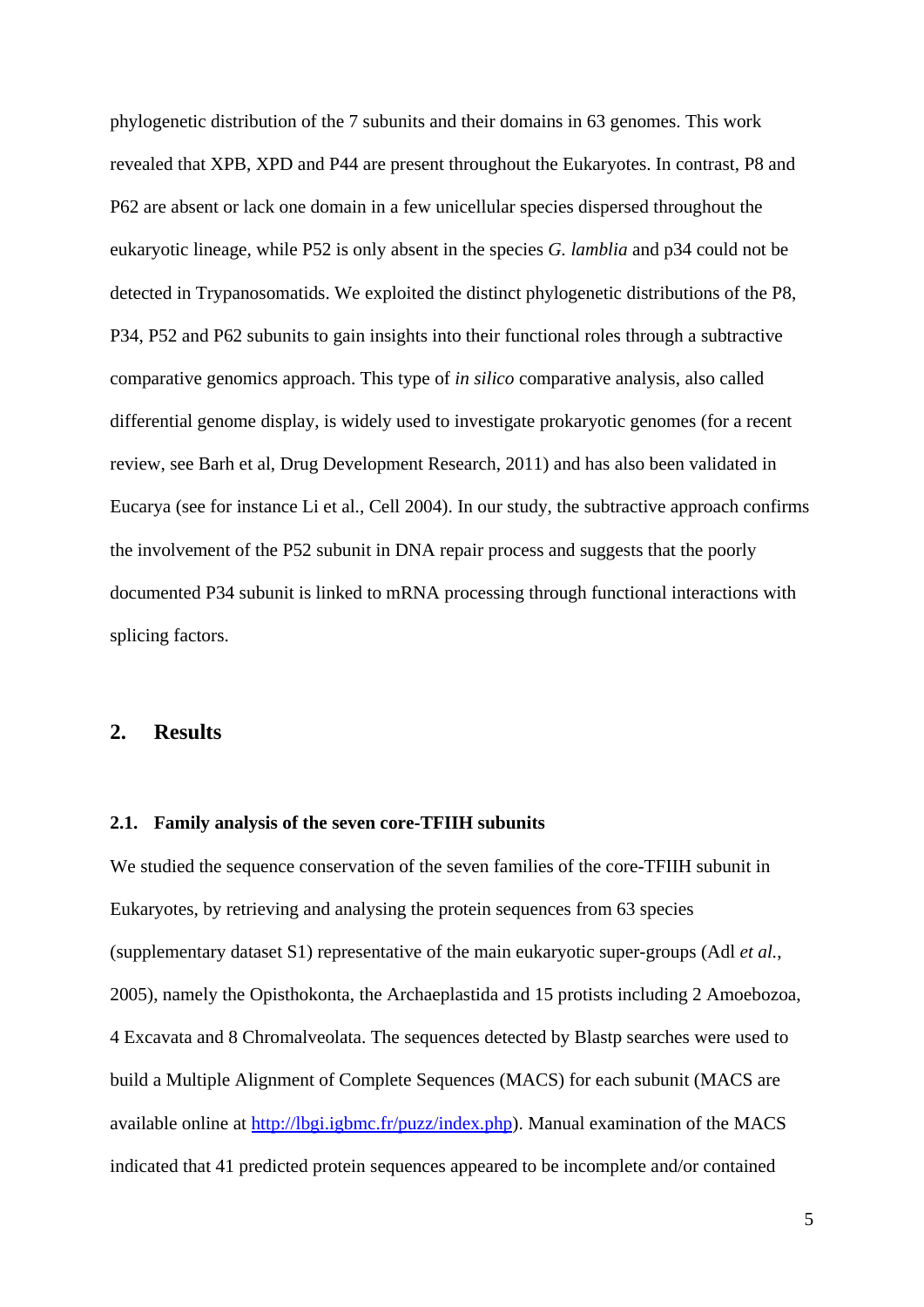phylogenetic distribution of the 7 subunits and their domains in 63 genomes. This work revealed that XPB, XPD and P44 are present throughout the Eukaryotes. In contrast, P8 and P62 are absent or lack one domain in a few unicellular species dispersed throughout the eukaryotic lineage, while P52 is only absent in the species *G. lamblia* and p34 could not be detected in Trypanosomatids. We exploited the distinct phylogenetic distributions of the P8, P34, P52 and P62 subunits to gain insights into their functional roles through a subtractive comparative genomics approach. This type of *in silico* comparative analysis, also called differential genome display, is widely used to investigate prokaryotic genomes (for a recent review, see Barh et al, Drug Development Research, 2011) and has also been validated in Eucarya (see for instance Li et al., Cell 2004). In our study, the subtractive approach confirms the involvement of the P52 subunit in DNA repair process and suggests that the poorly documented P34 subunit is linked to mRNA processing through functional interactions with splicing factors.

# **2. Results**

#### **2.1. Family analysis of the seven core-TFIIH subunits**

We studied the sequence conservation of the seven families of the core-TFIIH subunit in Eukaryotes, by retrieving and analysing the protein sequences from 63 species (supplementary dataset S1) representative of the main eukaryotic super-groups (Adl *et al.*, 2005), namely the Opisthokonta, the Archaeplastida and 15 protists including 2 Amoebozoa, 4 Excavata and 8 Chromalveolata. The sequences detected by Blastp searches were used to build a Multiple Alignment of Complete Sequences (MACS) for each subunit (MACS are available online at [http://lbgi.igbmc.fr/puzz/index.php\)](http://lbgi.igbmc.fr/puzz/index.php). Manual examination of the MACS indicated that 41 predicted protein sequences appeared to be incomplete and/or contained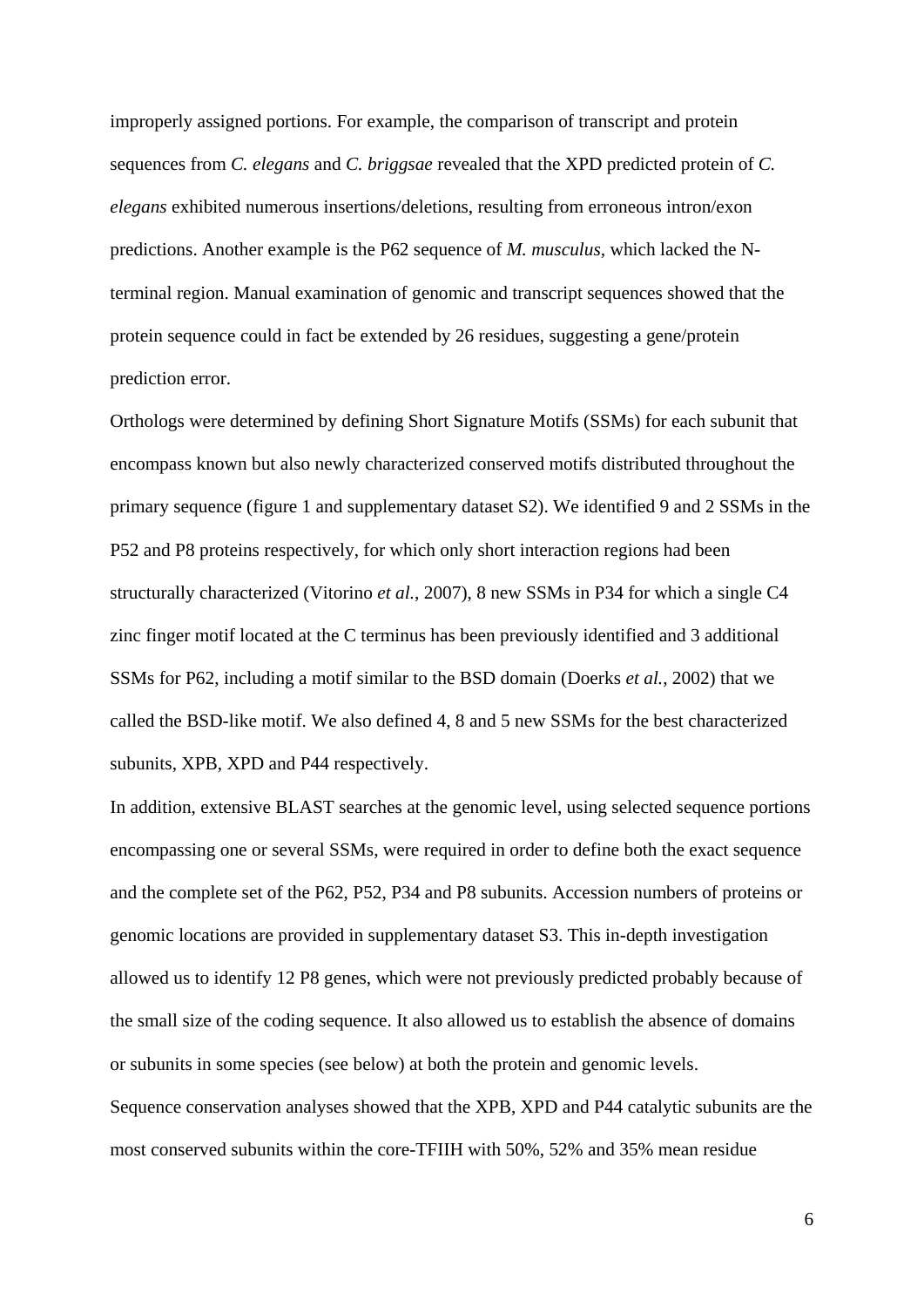improperly assigned portions. For example, the comparison of transcript and protein sequences from *C. elegans* and *C. briggsae* revealed that the XPD predicted protein of *C. elegans* exhibited numerous insertions/deletions, resulting from erroneous intron/exon predictions. Another example is the P62 sequence of *M. musculus,* which lacked the Nterminal region. Manual examination of genomic and transcript sequences showed that the protein sequence could in fact be extended by 26 residues, suggesting a gene/protein prediction error.

Orthologs were determined by defining Short Signature Motifs (SSMs) for each subunit that encompass known but also newly characterized conserved motifs distributed throughout the primary sequence (figure 1 and supplementary dataset S2). We identified 9 and 2 SSMs in the P52 and P8 proteins respectively, for which only short interaction regions had been structurally characterized (Vitorino *et al.*, 2007), 8 new SSMs in P34 for which a single C4 zinc finger motif located at the C terminus has been previously identified and 3 additional SSMs for P62, including a motif similar to the BSD domain (Doerks *et al.*, 2002) that we called the BSD-like motif. We also defined 4, 8 and 5 new SSMs for the best characterized subunits, XPB, XPD and P44 respectively.

In addition, extensive BLAST searches at the genomic level, using selected sequence portions encompassing one or several SSMs, were required in order to define both the exact sequence and the complete set of the P62, P52, P34 and P8 subunits. Accession numbers of proteins or genomic locations are provided in supplementary dataset S3. This in-depth investigation allowed us to identify 12 P8 genes, which were not previously predicted probably because of the small size of the coding sequence. It also allowed us to establish the absence of domains or subunits in some species (see below) at both the protein and genomic levels. Sequence conservation analyses showed that the XPB, XPD and P44 catalytic subunits are the most conserved subunits within the core-TFIIH with 50%, 52% and 35% mean residue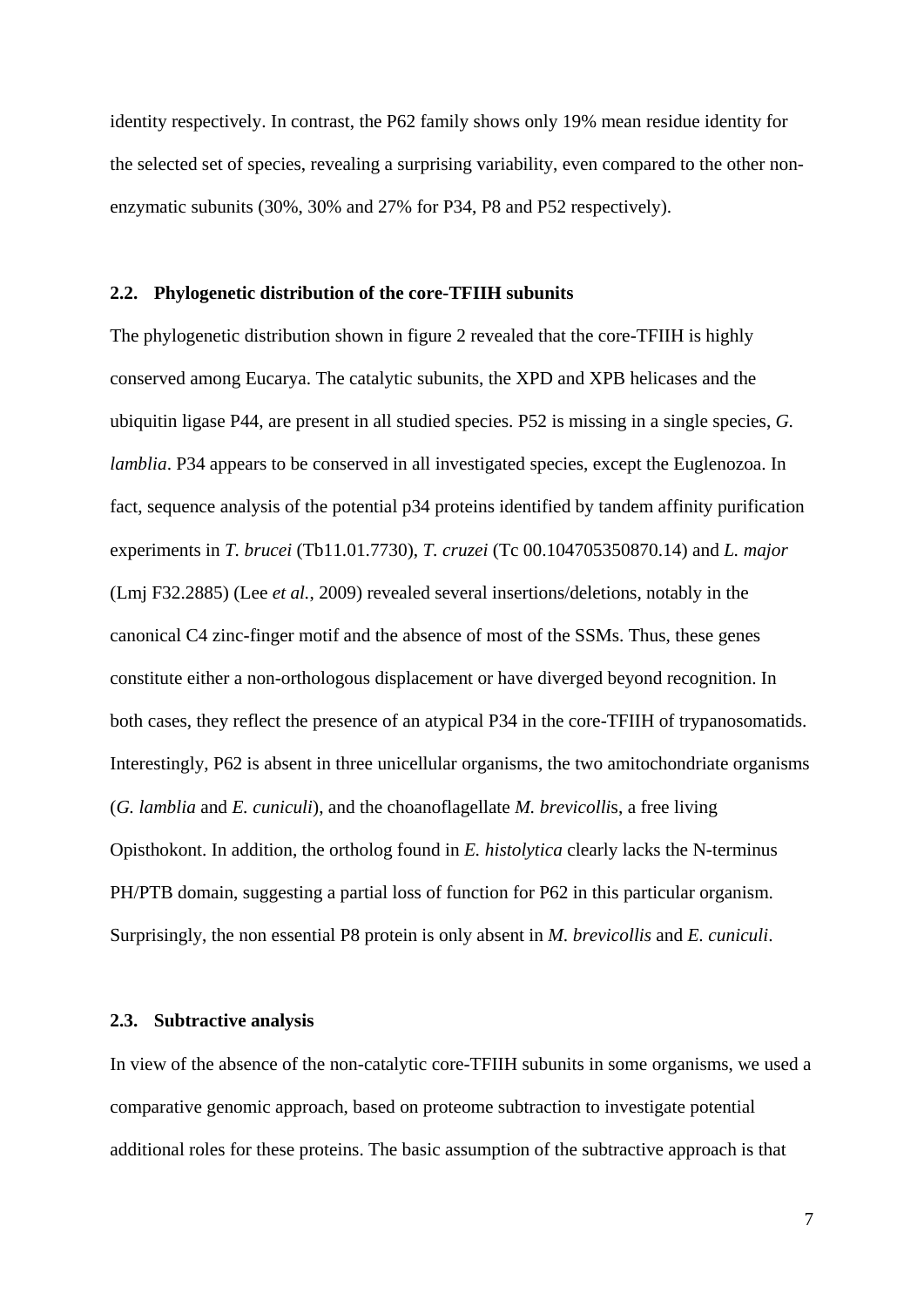identity respectively. In contrast, the P62 family shows only 19% mean residue identity for the selected set of species, revealing a surprising variability, even compared to the other nonenzymatic subunits (30%, 30% and 27% for P34, P8 and P52 respectively).

#### **2.2. Phylogenetic distribution of the core-TFIIH subunits**

The phylogenetic distribution shown in figure 2 revealed that the core-TFIIH is highly conserved among Eucarya. The catalytic subunits, the XPD and XPB helicases and the ubiquitin ligase P44, are present in all studied species. P52 is missing in a single species, *G. lamblia*. P34 appears to be conserved in all investigated species, except the Euglenozoa. In fact, sequence analysis of the potential p34 proteins identified by tandem affinity purification experiments in *T. brucei* (Tb11.01.7730), *T. cruzei* (Tc 00.104705350870.14) and *L. major* (Lmj F32.2885) (Lee *et al.*, 2009) revealed several insertions/deletions, notably in the canonical C4 zinc-finger motif and the absence of most of the SSMs. Thus, these genes constitute either a non-orthologous displacement or have diverged beyond recognition. In both cases, they reflect the presence of an atypical P34 in the core-TFIIH of trypanosomatids. Interestingly, P62 is absent in three unicellular organisms, the two amitochondriate organisms (*G. lamblia* and *E. cuniculi*), and the choanoflagellate *M. brevicolli*s, a free living Opisthokont. In addition, the ortholog found in *E. histolytica* clearly lacks the N-terminus PH/PTB domain, suggesting a partial loss of function for P62 in this particular organism. Surprisingly, the non essential P8 protein is only absent in *M. brevicollis* and *E. cuniculi*.

#### **2.3. Subtractive analysis**

In view of the absence of the non-catalytic core-TFIIH subunits in some organisms, we used a comparative genomic approach, based on proteome subtraction to investigate potential additional roles for these proteins. The basic assumption of the subtractive approach is that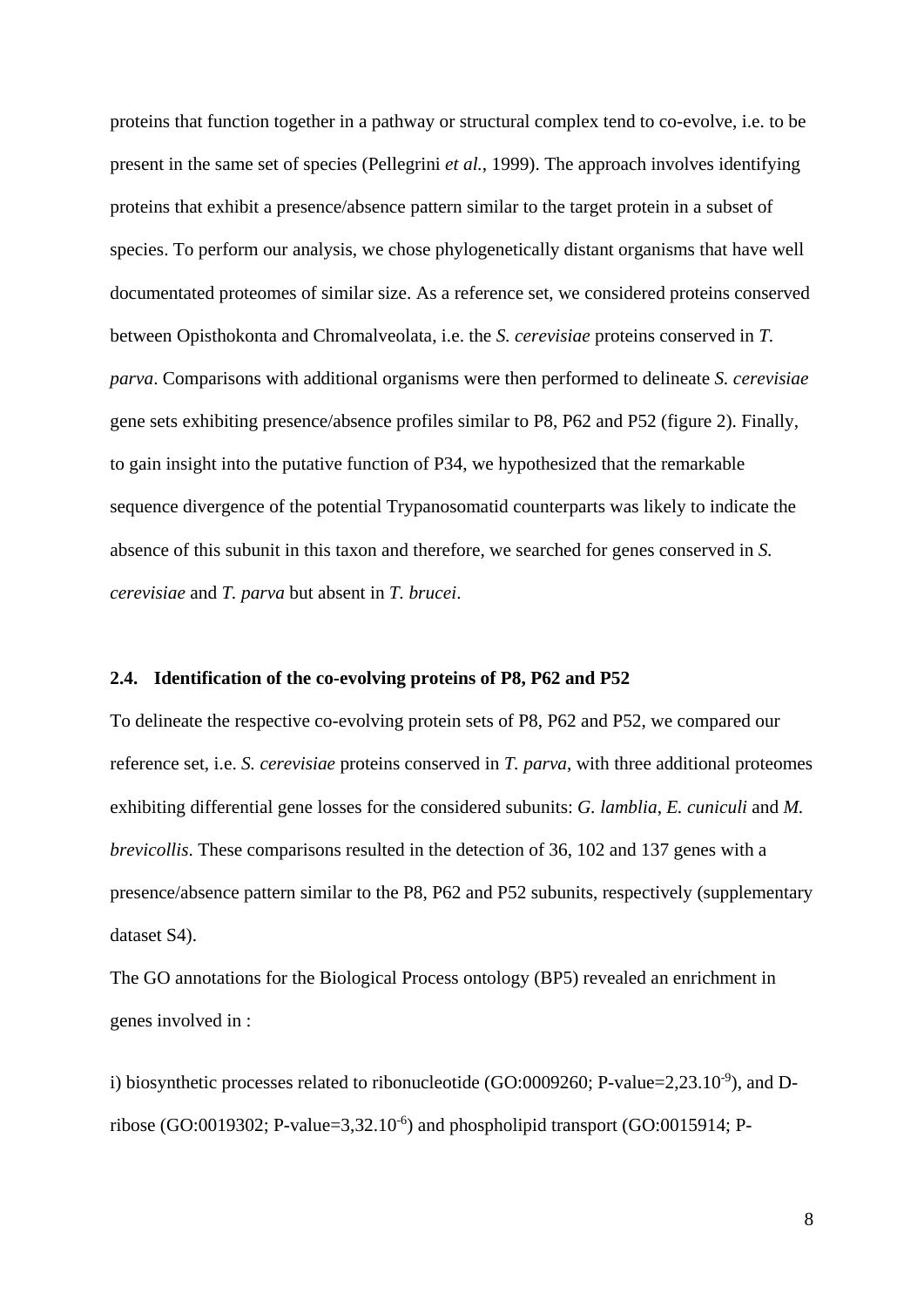proteins that function together in a pathway or structural complex tend to co-evolve, i.e. to be present in the same set of species (Pellegrini *et al.*, 1999). The approach involves identifying proteins that exhibit a presence/absence pattern similar to the target protein in a subset of species. To perform our analysis, we chose phylogenetically distant organisms that have well documentated proteomes of similar size. As a reference set, we considered proteins conserved between Opisthokonta and Chromalveolata, i.e. the *S. cerevisiae* proteins conserved in *T. parva*. Comparisons with additional organisms were then performed to delineate *S. cerevisiae* gene sets exhibiting presence/absence profiles similar to P8, P62 and P52 (figure 2). Finally, to gain insight into the putative function of P34, we hypothesized that the remarkable sequence divergence of the potential Trypanosomatid counterparts was likely to indicate the absence of this subunit in this taxon and therefore, we searched for genes conserved in *S. cerevisiae* and *T. parva* but absent in *T. brucei*.

#### **2.4. Identification of the co-evolving proteins of P8, P62 and P52**

To delineate the respective co-evolving protein sets of P8, P62 and P52, we compared our reference set, i.e. *S. cerevisiae* proteins conserved in *T. parva*, with three additional proteomes exhibiting differential gene losses for the considered subunits: *G. lamblia*, *E. cuniculi* and *M. brevicollis*. These comparisons resulted in the detection of 36, 102 and 137 genes with a presence/absence pattern similar to the P8, P62 and P52 subunits, respectively (supplementary dataset S4).

The GO annotations for the Biological Process ontology (BP5) revealed an enrichment in genes involved in :

i) biosynthetic processes related to ribonucleotide (GO:0009260; P-value=2,23.10<sup>-9</sup>), and Dribose (GO:0019302; P-value=3,32.10 $^{\circ}$ ) and phospholipid transport (GO:0015914; P-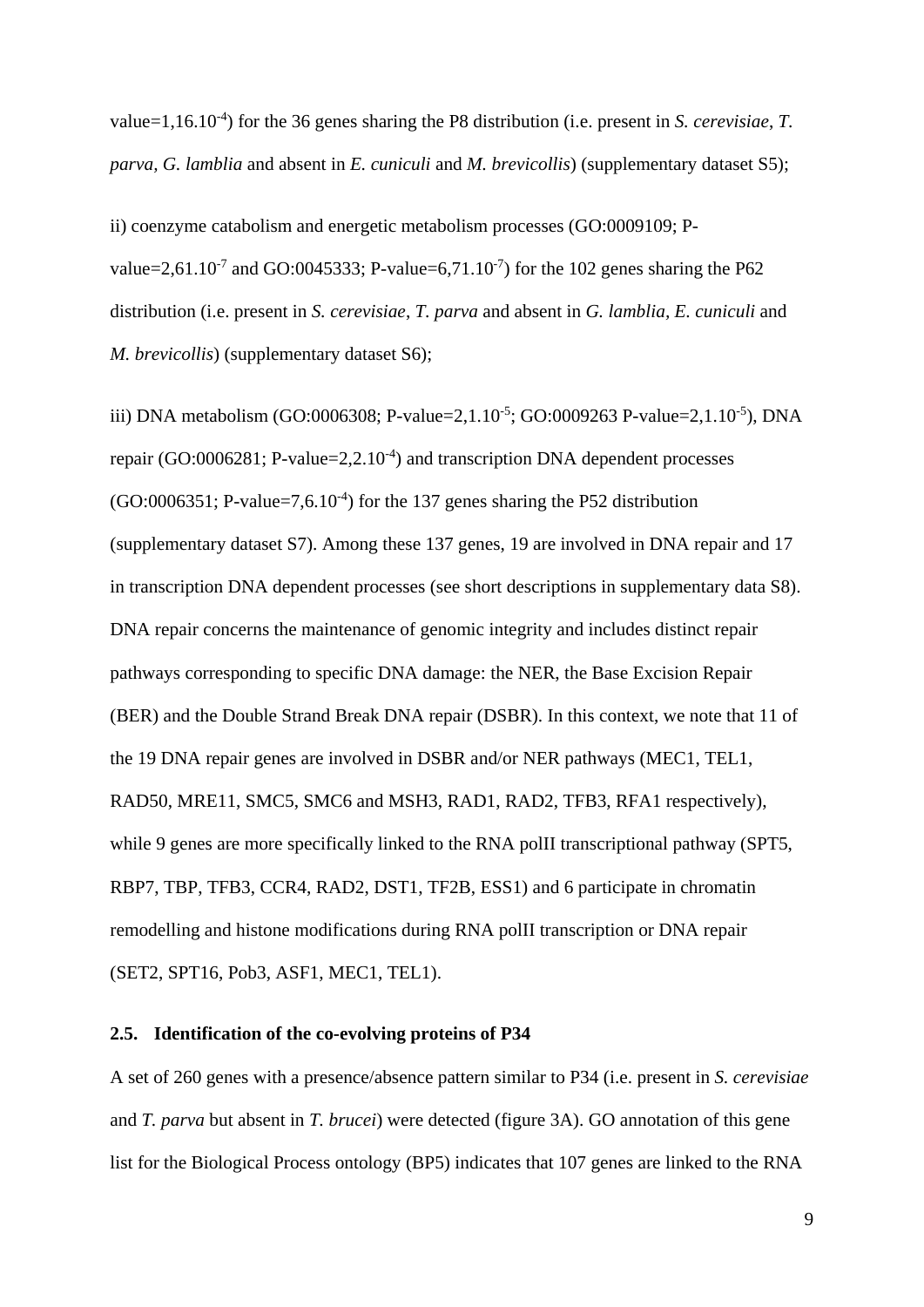value=1,16.10-4 ) for the 36 genes sharing the P8 distribution (i.e. present in *S. cerevisiae*, *T. parva, G. lamblia* and absent in *E. cuniculi* and *M. brevicollis*) (supplementary dataset S5);

ii) coenzyme catabolism and energetic metabolism processes (GO:0009109; Pvalue=2,61.10<sup>-7</sup> and GO:0045333; P-value=6,71.10<sup>-7</sup>) for the 102 genes sharing the P62 distribution (i.e. present in *S. cerevisiae*, *T. parva* and absent in *G. lamblia, E. cuniculi* and *M. brevicollis*) (supplementary dataset S6);

iii) DNA metabolism (GO:0006308; P-value=2,1.10<sup>-5</sup>; GO:0009263 P-value=2,1.10<sup>-5</sup>), DNA repair (GO:0006281; P-value=2,2.10<sup>-4</sup>) and transcription DNA dependent processes  $(GO:0006351; P-value=7, 6.10<sup>-4</sup>)$  for the 137 genes sharing the P52 distribution (supplementary dataset S7). Among these 137 genes, 19 are involved in DNA repair and 17 in transcription DNA dependent processes (see short descriptions in supplementary data S8). DNA repair concerns the maintenance of genomic integrity and includes distinct repair pathways corresponding to specific DNA damage: the NER, the Base Excision Repair (BER) and the Double Strand Break DNA repair (DSBR). In this context, we note that 11 of the 19 DNA repair genes are involved in DSBR and/or NER pathways (MEC1, TEL1, RAD50, MRE11, SMC5, SMC6 and MSH3, RAD1, RAD2, TFB3, RFA1 respectively), while 9 genes are more specifically linked to the RNA polII transcriptional pathway (SPT5, RBP7, TBP, TFB3, CCR4, RAD2, DST1, TF2B, ESS1) and 6 participate in chromatin remodelling and histone modifications during RNA polII transcription or DNA repair (SET2, SPT16, Pob3, ASF1, MEC1, TEL1).

# **2.5. Identification of the co-evolving proteins of P34**

A set of 260 genes with a presence/absence pattern similar to P34 (i.e. present in *S. cerevisiae* and *T. parva* but absent in *T. brucei*) were detected (figure 3A). GO annotation of this gene list for the Biological Process ontology (BP5) indicates that 107 genes are linked to the RNA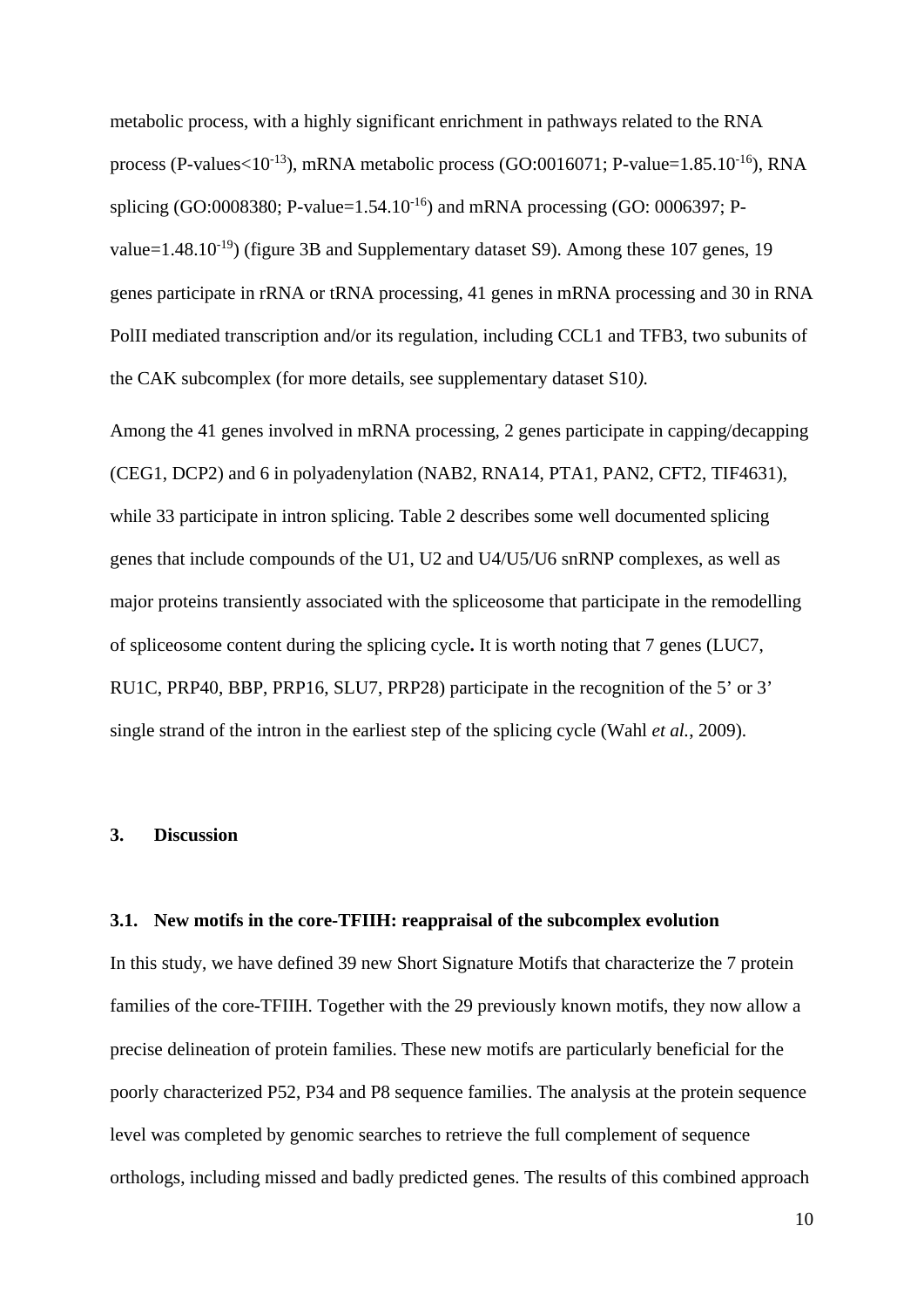metabolic process, with a highly significant enrichment in pathways related to the RNA process (P-values $<10^{-13}$ ), mRNA metabolic process (GO:0016071; P-value=1.85.10<sup>-16</sup>), RNA splicing (GO:0008380; P-value= $1.54.10^{-16}$ ) and mRNA processing (GO: 0006397; Pvalue=1.48.10<sup>-19</sup>) (figure 3B and Supplementary dataset S9). Among these 107 genes, 19 genes participate in rRNA or tRNA processing, 41 genes in mRNA processing and 30 in RNA PolII mediated transcription and/or its regulation, including CCL1 and TFB3, two subunits of the CAK subcomplex (for more details, see supplementary dataset S10*).*

Among the 41 genes involved in mRNA processing, 2 genes participate in capping/decapping (CEG1, DCP2) and 6 in polyadenylation (NAB2, RNA14, PTA1, PAN2, CFT2, TIF4631), while 33 participate in intron splicing. Table 2 describes some well documented splicing genes that include compounds of the U1, U2 and U4/U5/U6 snRNP complexes, as well as major proteins transiently associated with the spliceosome that participate in the remodelling of spliceosome content during the splicing cycle**.** It is worth noting that 7 genes (LUC7, RU1C, PRP40, BBP, PRP16, SLU7, PRP28) participate in the recognition of the 5' or 3' single strand of the intron in the earliest step of the splicing cycle (Wahl *et al.*, 2009).

# **3. Discussion**

#### **3.1. New motifs in the core-TFIIH: reappraisal of the subcomplex evolution**

In this study, we have defined 39 new Short Signature Motifs that characterize the 7 protein families of the core-TFIIH. Together with the 29 previously known motifs, they now allow a precise delineation of protein families. These new motifs are particularly beneficial for the poorly characterized P52, P34 and P8 sequence families. The analysis at the protein sequence level was completed by genomic searches to retrieve the full complement of sequence orthologs, including missed and badly predicted genes. The results of this combined approach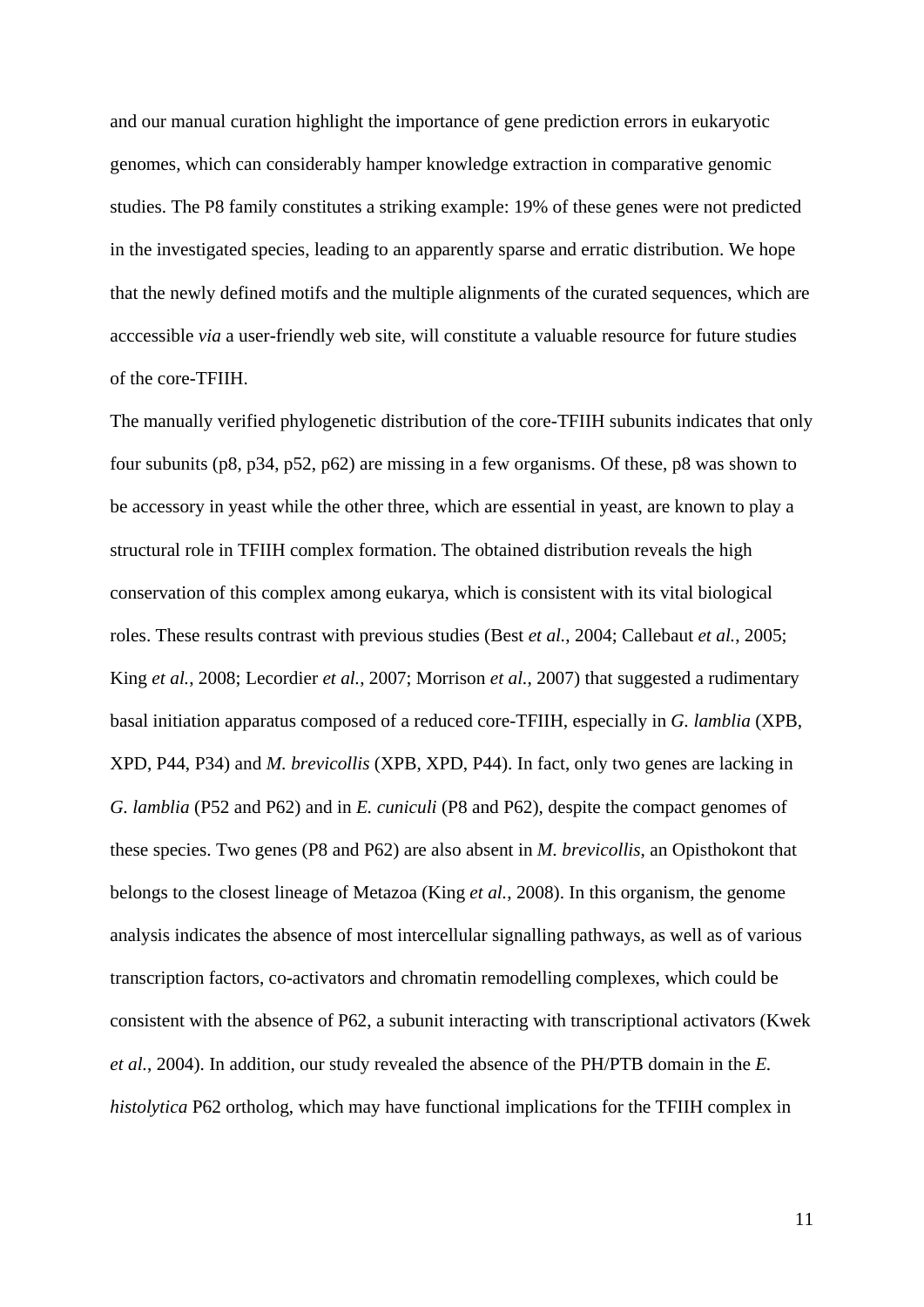and our manual curation highlight the importance of gene prediction errors in eukaryotic genomes, which can considerably hamper knowledge extraction in comparative genomic studies. The P8 family constitutes a striking example: 19% of these genes were not predicted in the investigated species, leading to an apparently sparse and erratic distribution. We hope that the newly defined motifs and the multiple alignments of the curated sequences, which are acccessible *via* a user-friendly web site, will constitute a valuable resource for future studies of the core-TFIIH.

The manually verified phylogenetic distribution of the core-TFIIH subunits indicates that only four subunits (p8, p34, p52, p62) are missing in a few organisms. Of these, p8 was shown to be accessory in yeast while the other three, which are essential in yeast, are known to play a structural role in TFIIH complex formation. The obtained distribution reveals the high conservation of this complex among eukarya, which is consistent with its vital biological roles. These results contrast with previous studies (Best *et al.*, 2004; Callebaut *et al.*, 2005; King *et al.*, 2008; Lecordier *et al.*, 2007; Morrison *et al.*, 2007) that suggested a rudimentary basal initiation apparatus composed of a reduced core-TFIIH, especially in *G. lamblia* (XPB, XPD, P44, P34) and *M. brevicollis* (XPB, XPD, P44). In fact, only two genes are lacking in *G. lamblia* (P52 and P62) and in *E. cuniculi* (P8 and P62), despite the compact genomes of these species. Two genes (P8 and P62) are also absent in *M. brevicollis*, an Opisthokont that belongs to the closest lineage of Metazoa (King *et al.*, 2008). In this organism, the genome analysis indicates the absence of most intercellular signalling pathways, as well as of various transcription factors, co-activators and chromatin remodelling complexes, which could be consistent with the absence of P62, a subunit interacting with transcriptional activators (Kwek *et al.*, 2004). In addition, our study revealed the absence of the PH/PTB domain in the *E. histolytica* P62 ortholog, which may have functional implications for the TFIIH complex in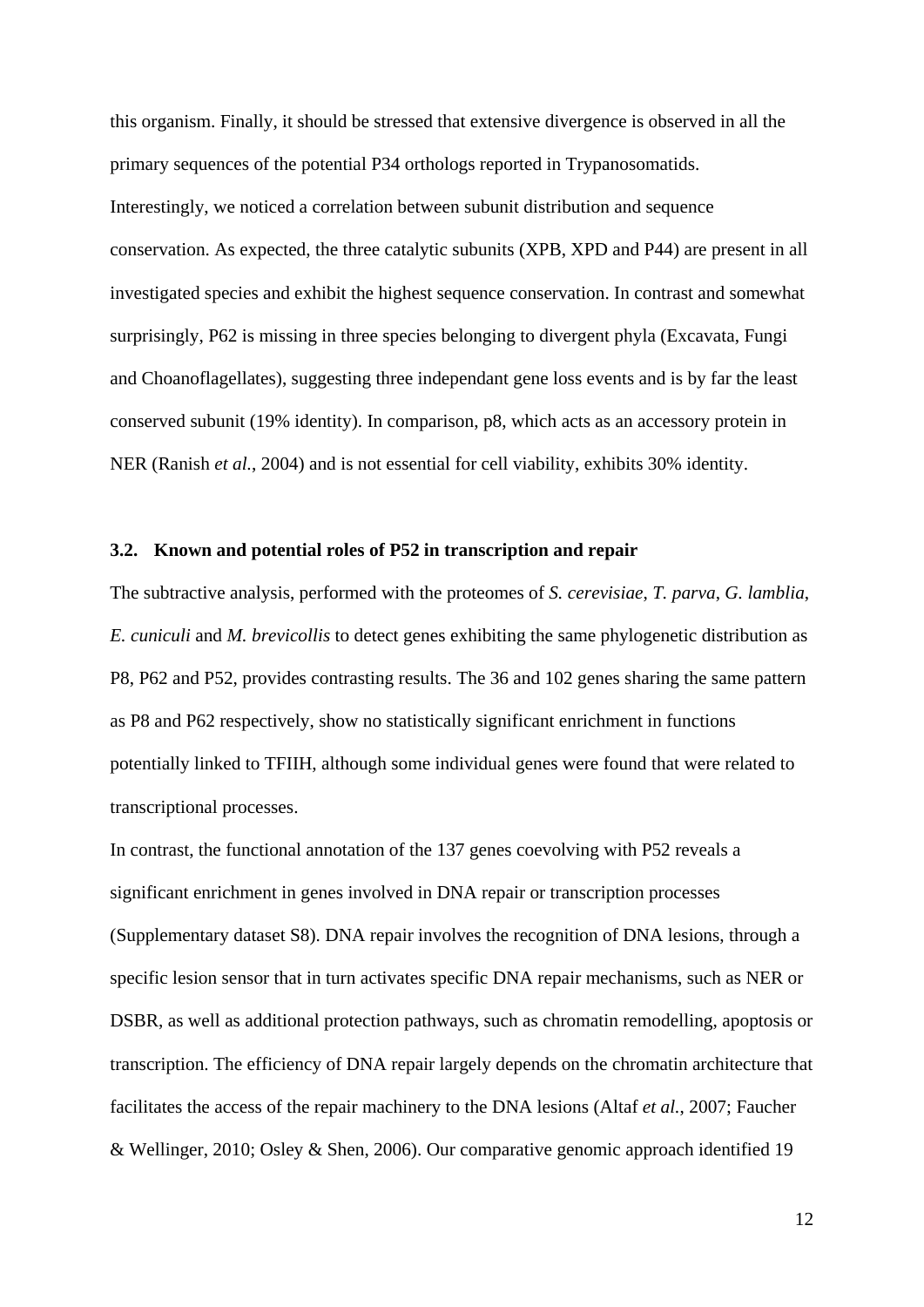this organism. Finally, it should be stressed that extensive divergence is observed in all the primary sequences of the potential P34 orthologs reported in Trypanosomatids. Interestingly, we noticed a correlation between subunit distribution and sequence conservation. As expected, the three catalytic subunits (XPB, XPD and P44) are present in all investigated species and exhibit the highest sequence conservation. In contrast and somewhat surprisingly, P62 is missing in three species belonging to divergent phyla (Excavata, Fungi and Choanoflagellates), suggesting three independant gene loss events and is by far the least conserved subunit (19% identity). In comparison, p8, which acts as an accessory protein in NER (Ranish *et al.*, 2004) and is not essential for cell viability, exhibits 30% identity.

## **3.2. Known and potential roles of P52 in transcription and repair**

The subtractive analysis, performed with the proteomes of *S. cerevisiae*, *T. parva*, *G. lamblia*, *E. cuniculi* and *M. brevicollis* to detect genes exhibiting the same phylogenetic distribution as P8, P62 and P52, provides contrasting results. The 36 and 102 genes sharing the same pattern as P8 and P62 respectively, show no statistically significant enrichment in functions potentially linked to TFIIH, although some individual genes were found that were related to transcriptional processes.

In contrast, the functional annotation of the 137 genes coevolving with P52 reveals a significant enrichment in genes involved in DNA repair or transcription processes (Supplementary dataset S8). DNA repair involves the recognition of DNA lesions, through a specific lesion sensor that in turn activates specific DNA repair mechanisms, such as NER or DSBR, as well as additional protection pathways, such as chromatin remodelling, apoptosis or transcription. The efficiency of DNA repair largely depends on the chromatin architecture that facilitates the access of the repair machinery to the DNA lesions (Altaf *et al.*, 2007; Faucher & Wellinger, 2010; Osley & Shen, 2006). Our comparative genomic approach identified 19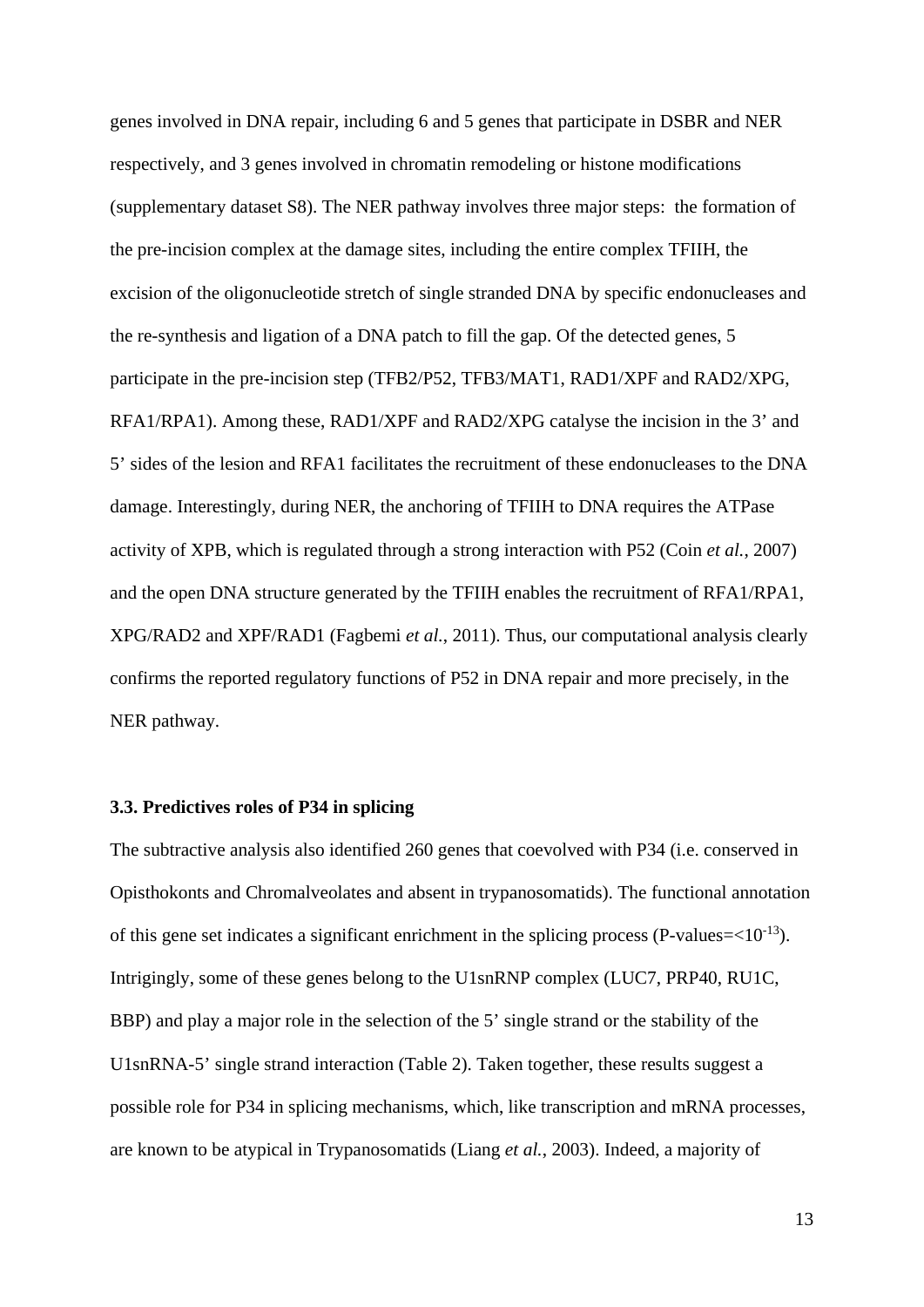genes involved in DNA repair, including 6 and 5 genes that participate in DSBR and NER respectively, and 3 genes involved in chromatin remodeling or histone modifications (supplementary dataset S8). The NER pathway involves three major steps: the formation of the pre-incision complex at the damage sites, including the entire complex TFIIH, the excision of the oligonucleotide stretch of single stranded DNA by specific endonucleases and the re-synthesis and ligation of a DNA patch to fill the gap. Of the detected genes, 5 participate in the pre-incision step (TFB2/P52, TFB3/MAT1, RAD1/XPF and RAD2/XPG, RFA1/RPA1). Among these, RAD1/XPF and RAD2/XPG catalyse the incision in the 3' and 5' sides of the lesion and RFA1 facilitates the recruitment of these endonucleases to the DNA damage. Interestingly, during NER, the anchoring of TFIIH to DNA requires the ATPase activity of XPB, which is regulated through a strong interaction with P52 (Coin *et al.*, 2007) and the open DNA structure generated by the TFIIH enables the recruitment of RFA1/RPA1, XPG/RAD2 and XPF/RAD1 (Fagbemi *et al.*, 2011). Thus, our computational analysis clearly confirms the reported regulatory functions of P52 in DNA repair and more precisely, in the NER pathway.

# **3.3. Predictives roles of P34 in splicing**

The subtractive analysis also identified 260 genes that coevolved with P34 (i.e. conserved in Opisthokonts and Chromalveolates and absent in trypanosomatids). The functional annotation of this gene set indicates a significant enrichment in the splicing process (P-values= $<10^{-13}$ ). Intrigingly, some of these genes belong to the U1snRNP complex (LUC7, PRP40, RU1C, BBP) and play a major role in the selection of the 5' single strand or the stability of the U1snRNA-5' single strand interaction (Table 2). Taken together, these results suggest a possible role for P34 in splicing mechanisms, which, like transcription and mRNA processes, are known to be atypical in Trypanosomatids (Liang *et al.*, 2003). Indeed, a majority of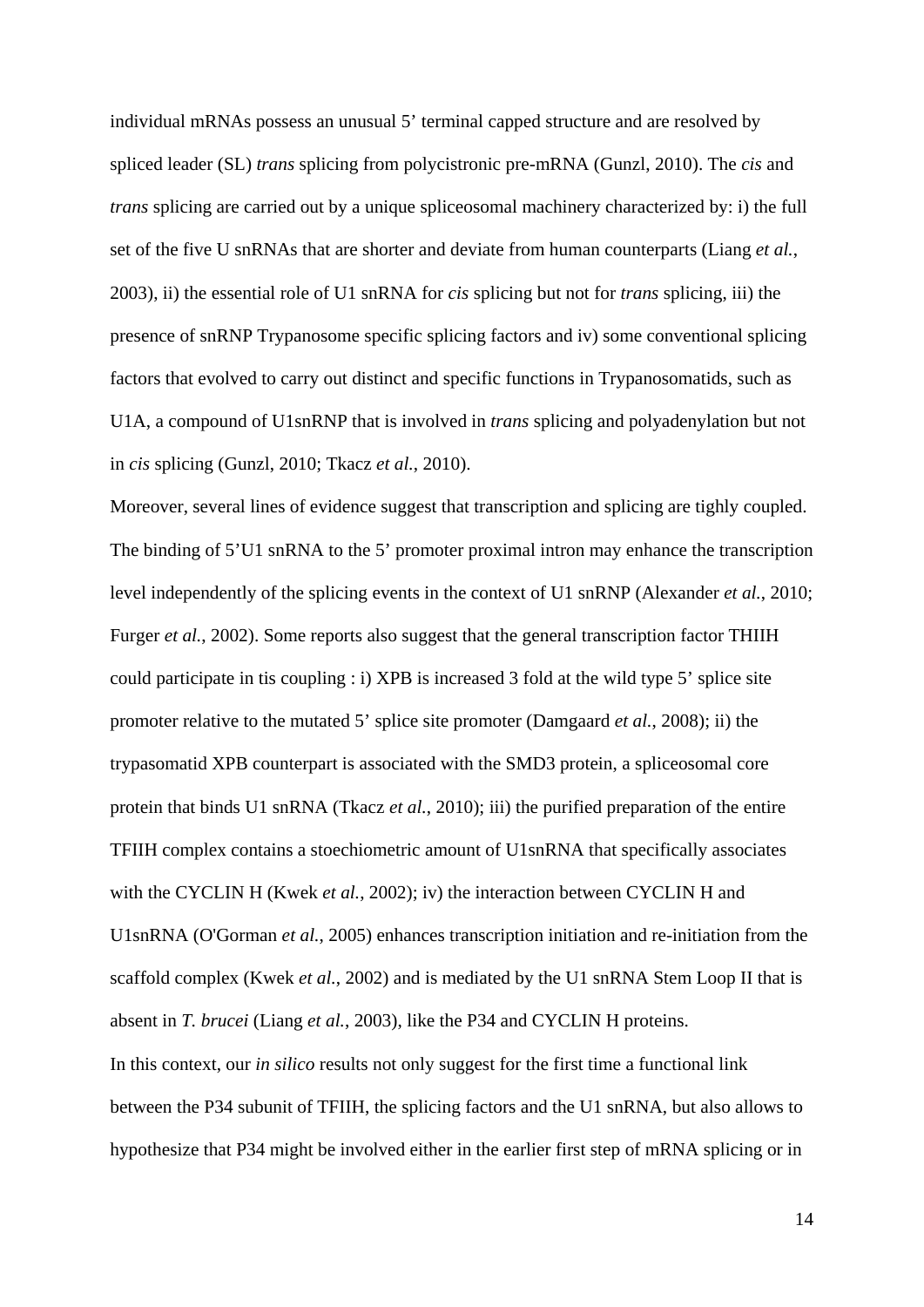individual mRNAs possess an unusual 5' terminal capped structure and are resolved by spliced leader (SL) *trans* splicing from polycistronic pre-mRNA (Gunzl, 2010). The *cis* and *trans* splicing are carried out by a unique spliceosomal machinery characterized by: i) the full set of the five U snRNAs that are shorter and deviate from human counterparts (Liang *et al.*, 2003), ii) the essential role of U1 snRNA for *cis* splicing but not for *trans* splicing, iii) the presence of snRNP Trypanosome specific splicing factors and iv) some conventional splicing factors that evolved to carry out distinct and specific functions in Trypanosomatids, such as U1A, a compound of U1snRNP that is involved in *trans* splicing and polyadenylation but not in *cis* splicing (Gunzl, 2010; Tkacz *et al.*, 2010).

Moreover, several lines of evidence suggest that transcription and splicing are tighly coupled. The binding of 5'U1 snRNA to the 5' promoter proximal intron may enhance the transcription level independently of the splicing events in the context of U1 snRNP (Alexander *et al.*, 2010; Furger *et al.*, 2002). Some reports also suggest that the general transcription factor THIIH could participate in tis coupling : i) XPB is increased 3 fold at the wild type 5' splice site promoter relative to the mutated 5' splice site promoter (Damgaard *et al.*, 2008); ii) the trypasomatid XPB counterpart is associated with the SMD3 protein, a spliceosomal core protein that binds U1 snRNA (Tkacz *et al.*, 2010); iii) the purified preparation of the entire TFIIH complex contains a stoechiometric amount of U1snRNA that specifically associates with the CYCLIN H (Kwek *et al.*, 2002); iv) the interaction between CYCLIN H and U1snRNA (O'Gorman *et al.*, 2005) enhances transcription initiation and re-initiation from the scaffold complex (Kwek *et al.*, 2002) and is mediated by the U1 snRNA Stem Loop II that is absent in *T. brucei* (Liang *et al.*, 2003), like the P34 and CYCLIN H proteins. In this context, our *in silico* results not only suggest for the first time a functional link between the P34 subunit of TFIIH, the splicing factors and the U1 snRNA, but also allows to hypothesize that P34 might be involved either in the earlier first step of mRNA splicing or in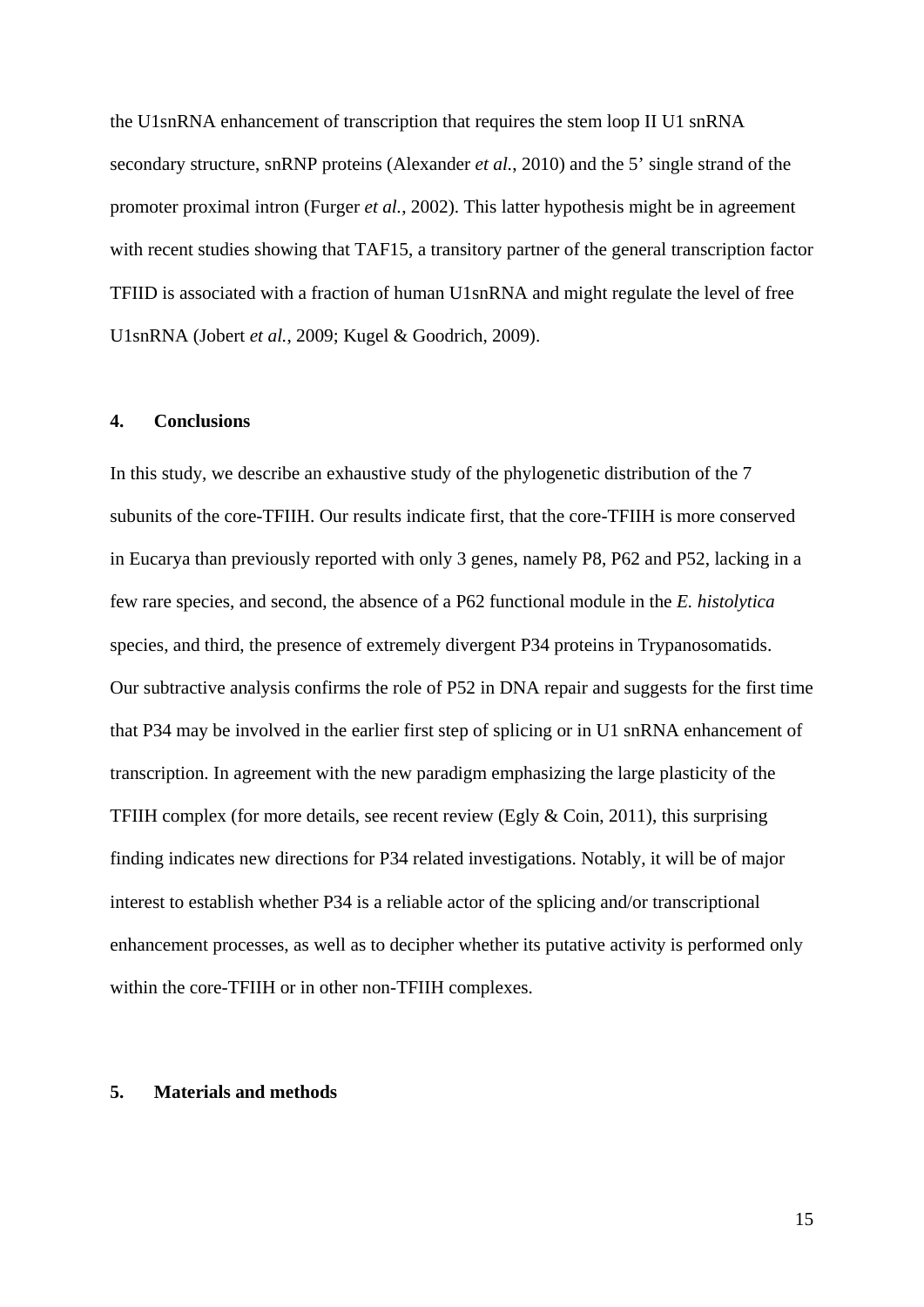the U1snRNA enhancement of transcription that requires the stem loop II U1 snRNA secondary structure, snRNP proteins (Alexander *et al.*, 2010) and the 5' single strand of the promoter proximal intron (Furger *et al.*, 2002). This latter hypothesis might be in agreement with recent studies showing that TAF15, a transitory partner of the general transcription factor TFIID is associated with a fraction of human U1snRNA and might regulate the level of free U1snRNA (Jobert *et al.*, 2009; Kugel & Goodrich, 2009).

# **4. Conclusions**

In this study, we describe an exhaustive study of the phylogenetic distribution of the 7 subunits of the core-TFIIH. Our results indicate first, that the core-TFIIH is more conserved in Eucarya than previously reported with only 3 genes, namely P8, P62 and P52, lacking in a few rare species, and second, the absence of a P62 functional module in the *E. histolytica* species, and third, the presence of extremely divergent P34 proteins in Trypanosomatids. Our subtractive analysis confirms the role of P52 in DNA repair and suggests for the first time that P34 may be involved in the earlier first step of splicing or in U1 snRNA enhancement of transcription. In agreement with the new paradigm emphasizing the large plasticity of the TFIIH complex (for more details, see recent review (Egly & Coin, 2011), this surprising finding indicates new directions for P34 related investigations. Notably, it will be of major interest to establish whether P34 is a reliable actor of the splicing and/or transcriptional enhancement processes, as well as to decipher whether its putative activity is performed only within the core-TFIIH or in other non-TFIIH complexes.

## **5. Materials and methods**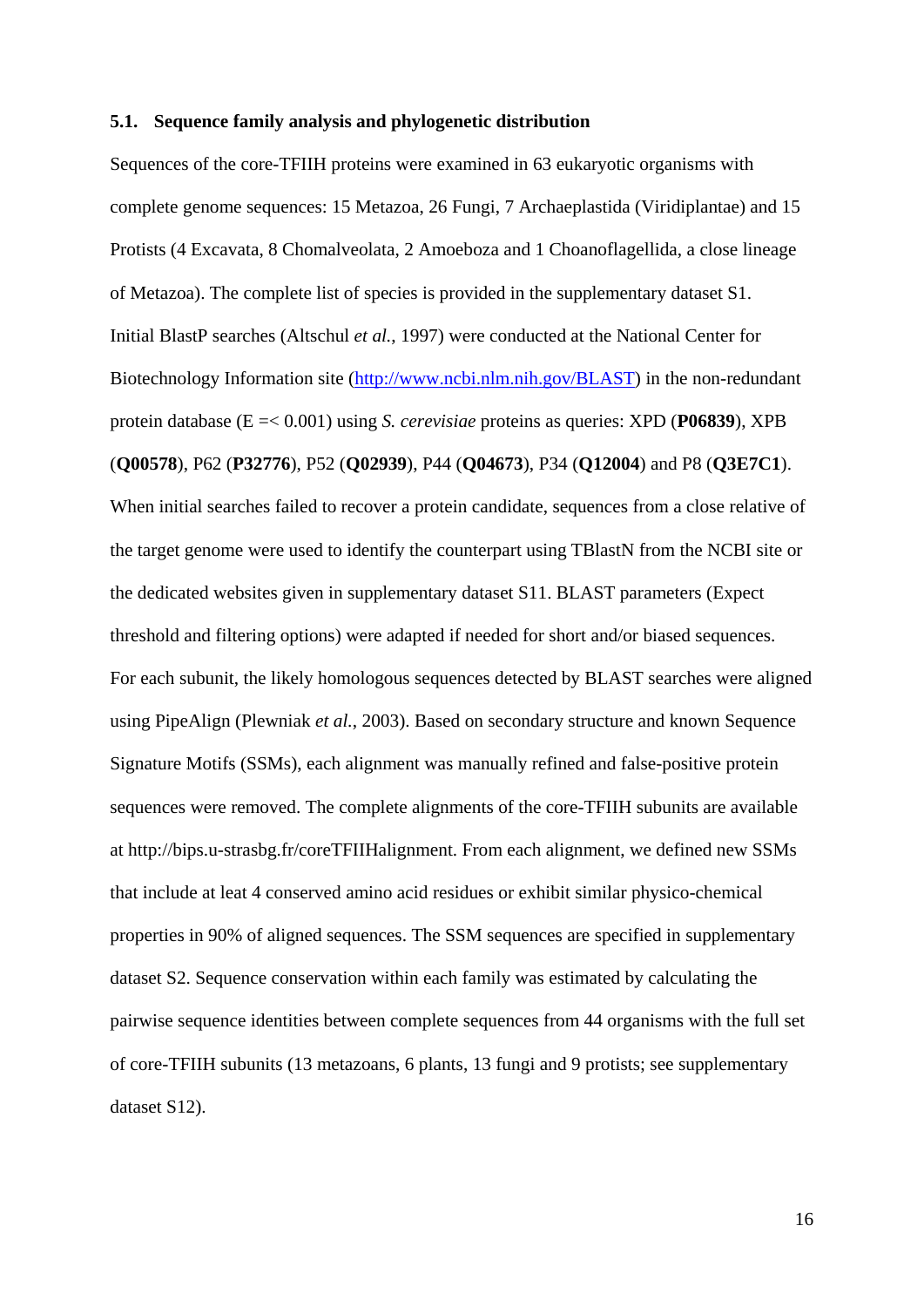#### **5.1. Sequence family analysis and phylogenetic distribution**

Sequences of the core-TFIIH proteins were examined in 63 eukaryotic organisms with complete genome sequences: 15 Metazoa, 26 Fungi, 7 Archaeplastida (Viridiplantae) and 15 Protists (4 Excavata, 8 Chomalveolata, 2 Amoeboza and 1 Choanoflagellida, a close lineage of Metazoa). The complete list of species is provided in the supplementary dataset S1. Initial BlastP searches (Altschul *et al.*, 1997) were conducted at the National Center for Biotechnology Information site [\(http://www.ncbi.nlm.nih.gov/BLAST\)](http://www.ncbi.nlm.nih.gov/BLAST) in the non-redundant protein database (E =< 0.001) using *S. cerevisiae* proteins as queries: XPD (**P06839**), XPB (**Q00578**), P62 (**P32776**), P52 (**Q02939**), P44 (**Q04673**), P34 (**Q12004**) and P8 (**Q3E7C1**). When initial searches failed to recover a protein candidate, sequences from a close relative of the target genome were used to identify the counterpart using TBlastN from the NCBI site or the dedicated websites given in supplementary dataset S11. BLAST parameters (Expect threshold and filtering options) were adapted if needed for short and/or biased sequences. For each subunit, the likely homologous sequences detected by BLAST searches were aligned using PipeAlign (Plewniak *et al.*, 2003). Based on secondary structure and known Sequence Signature Motifs (SSMs), each alignment was manually refined and false-positive protein sequences were removed. The complete alignments of the core-TFIIH subunits are available at http://bips.u-strasbg.fr/coreTFIIHalignment. From each alignment, we defined new SSMs that include at leat 4 conserved amino acid residues or exhibit similar physico-chemical properties in 90% of aligned sequences. The SSM sequences are specified in supplementary dataset S2. Sequence conservation within each family was estimated by calculating the pairwise sequence identities between complete sequences from 44 organisms with the full set of core-TFIIH subunits (13 metazoans, 6 plants, 13 fungi and 9 protists; see supplementary dataset S12).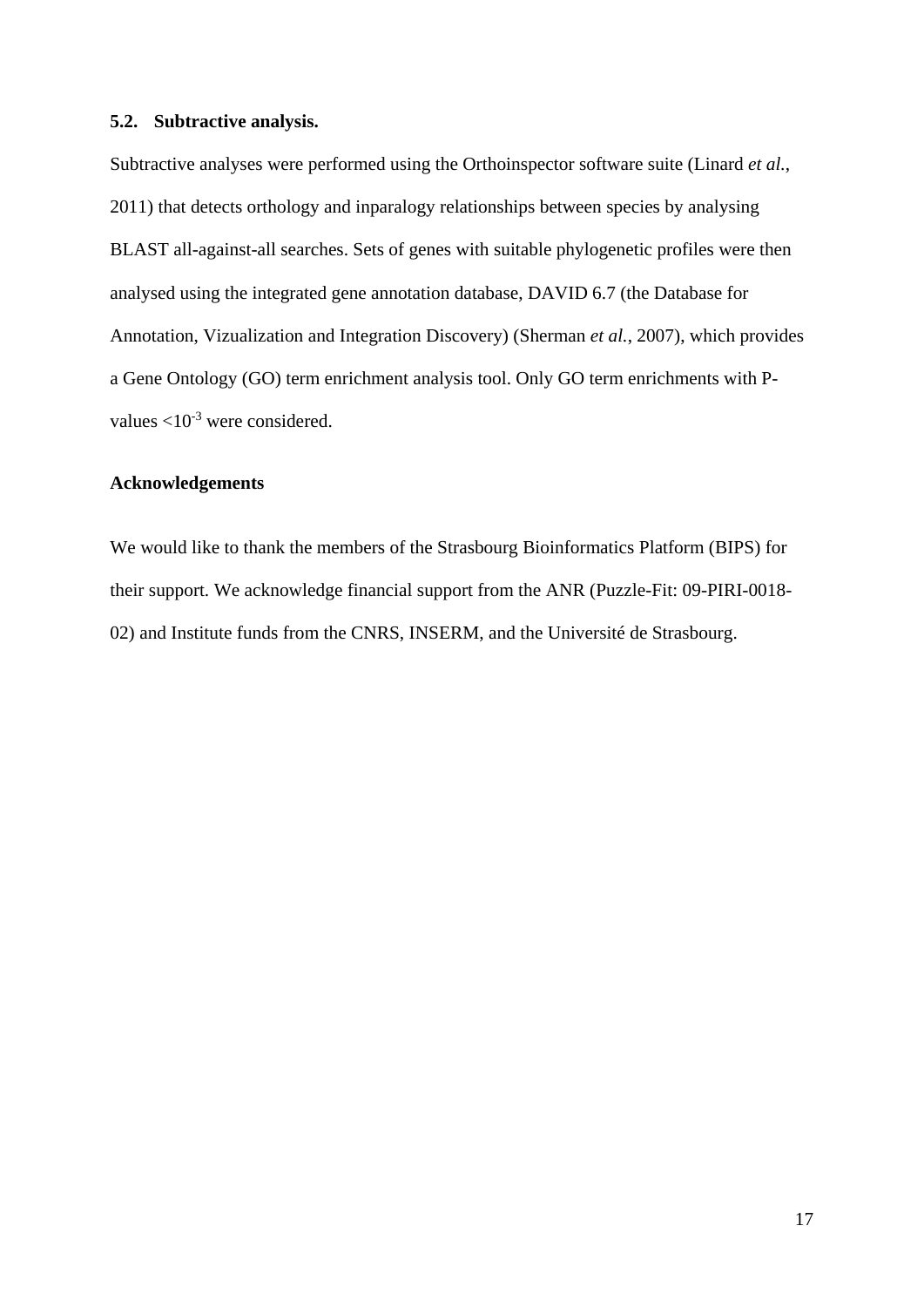# **5.2. Subtractive analysis.**

Subtractive analyses were performed using the Orthoinspector software suite (Linard *et al.*, 2011) that detects orthology and inparalogy relationships between species by analysing BLAST all-against-all searches. Sets of genes with suitable phylogenetic profiles were then analysed using the integrated gene annotation database, DAVID 6.7 (the Database for Annotation, Vizualization and Integration Discovery) (Sherman *et al.*, 2007), which provides a Gene Ontology (GO) term enrichment analysis tool. Only GO term enrichments with Pvalues  $<$ 10<sup>-3</sup> were considered.

### **Acknowledgements**

We would like to thank the members of the Strasbourg Bioinformatics Platform (BIPS) for their support. We acknowledge financial support from the ANR (Puzzle-Fit: 09-PIRI-0018- 02) and Institute funds from the CNRS, INSERM, and the Université de Strasbourg.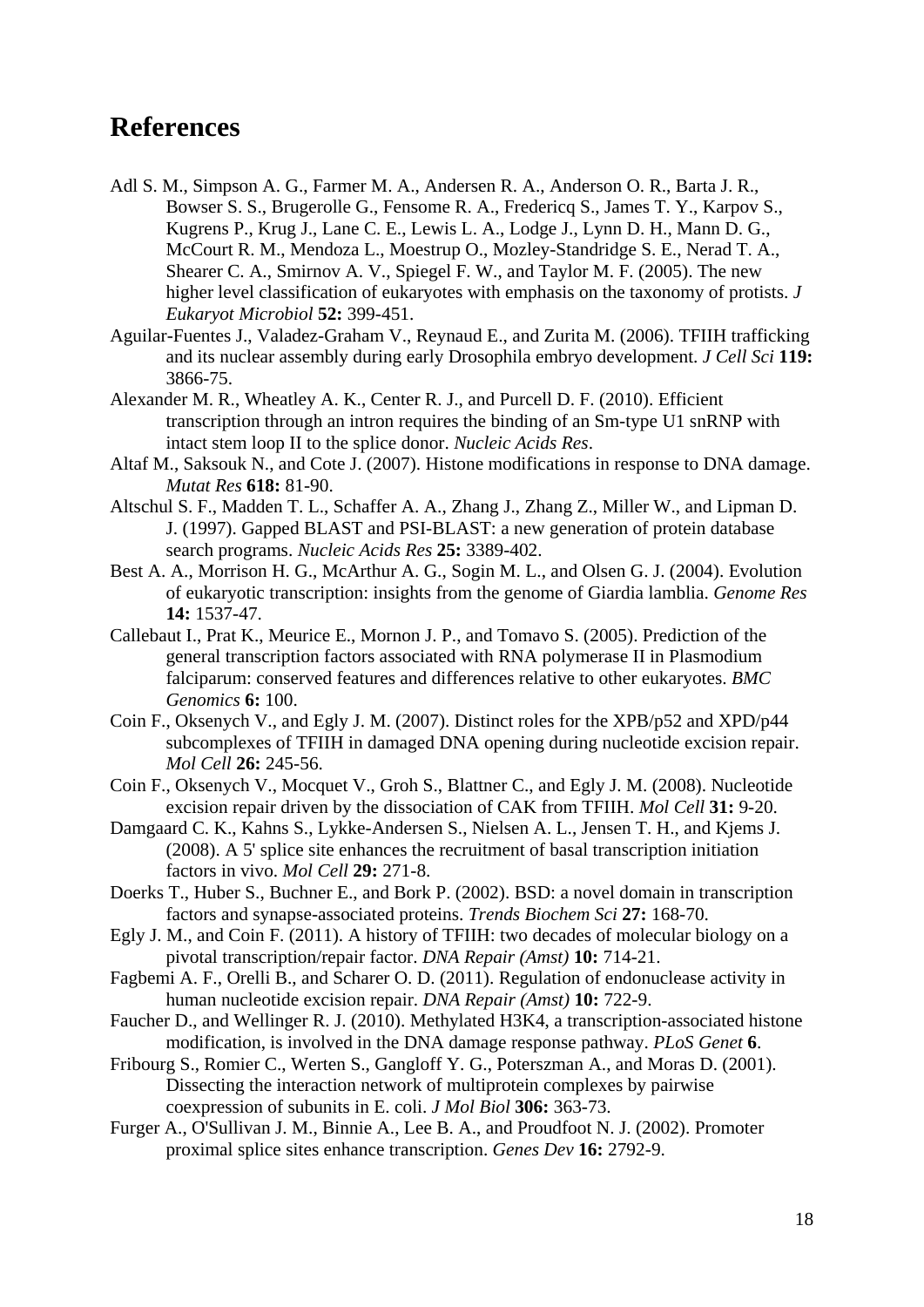# **References**

- Adl S. M., Simpson A. G., Farmer M. A., Andersen R. A., Anderson O. R., Barta J. R., Bowser S. S., Brugerolle G., Fensome R. A., Fredericq S., James T. Y., Karpov S., Kugrens P., Krug J., Lane C. E., Lewis L. A., Lodge J., Lynn D. H., Mann D. G., McCourt R. M., Mendoza L., Moestrup O., Mozley-Standridge S. E., Nerad T. A., Shearer C. A., Smirnov A. V., Spiegel F. W., and Taylor M. F. (2005). The new higher level classification of eukaryotes with emphasis on the taxonomy of protists. *J Eukaryot Microbiol* **52:** 399-451.
- Aguilar-Fuentes J., Valadez-Graham V., Reynaud E., and Zurita M. (2006). TFIIH trafficking and its nuclear assembly during early Drosophila embryo development. *J Cell Sci* **119:** 3866-75.
- Alexander M. R., Wheatley A. K., Center R. J., and Purcell D. F. (2010). Efficient transcription through an intron requires the binding of an Sm-type U1 snRNP with intact stem loop II to the splice donor. *Nucleic Acids Res*.
- Altaf M., Saksouk N., and Cote J. (2007). Histone modifications in response to DNA damage. *Mutat Res* **618:** 81-90.
- Altschul S. F., Madden T. L., Schaffer A. A., Zhang J., Zhang Z., Miller W., and Lipman D. J. (1997). Gapped BLAST and PSI-BLAST: a new generation of protein database search programs. *Nucleic Acids Res* **25:** 3389-402.
- Best A. A., Morrison H. G., McArthur A. G., Sogin M. L., and Olsen G. J. (2004). Evolution of eukaryotic transcription: insights from the genome of Giardia lamblia. *Genome Res* **14:** 1537-47.
- Callebaut I., Prat K., Meurice E., Mornon J. P., and Tomavo S. (2005). Prediction of the general transcription factors associated with RNA polymerase II in Plasmodium falciparum: conserved features and differences relative to other eukaryotes. *BMC Genomics* **6:** 100.
- Coin F., Oksenych V., and Egly J. M. (2007). Distinct roles for the XPB/p52 and XPD/p44 subcomplexes of TFIIH in damaged DNA opening during nucleotide excision repair. *Mol Cell* **26:** 245-56.
- Coin F., Oksenych V., Mocquet V., Groh S., Blattner C., and Egly J. M. (2008). Nucleotide excision repair driven by the dissociation of CAK from TFIIH. *Mol Cell* **31:** 9-20.
- Damgaard C. K., Kahns S., Lykke-Andersen S., Nielsen A. L., Jensen T. H., and Kjems J. (2008). A 5' splice site enhances the recruitment of basal transcription initiation factors in vivo. *Mol Cell* **29:** 271-8.
- Doerks T., Huber S., Buchner E., and Bork P. (2002). BSD: a novel domain in transcription factors and synapse-associated proteins. *Trends Biochem Sci* **27:** 168-70.
- Egly J. M., and Coin F. (2011). A history of TFIIH: two decades of molecular biology on a pivotal transcription/repair factor. *DNA Repair (Amst)* **10:** 714-21.
- Fagbemi A. F., Orelli B., and Scharer O. D. (2011). Regulation of endonuclease activity in human nucleotide excision repair. *DNA Repair (Amst)* **10:** 722-9.
- Faucher D., and Wellinger R. J. (2010). Methylated H3K4, a transcription-associated histone modification, is involved in the DNA damage response pathway. *PLoS Genet* **6**.
- Fribourg S., Romier C., Werten S., Gangloff Y. G., Poterszman A., and Moras D. (2001). Dissecting the interaction network of multiprotein complexes by pairwise coexpression of subunits in E. coli. *J Mol Biol* **306:** 363-73.
- Furger A., O'Sullivan J. M., Binnie A., Lee B. A., and Proudfoot N. J. (2002). Promoter proximal splice sites enhance transcription. *Genes Dev* **16:** 2792-9.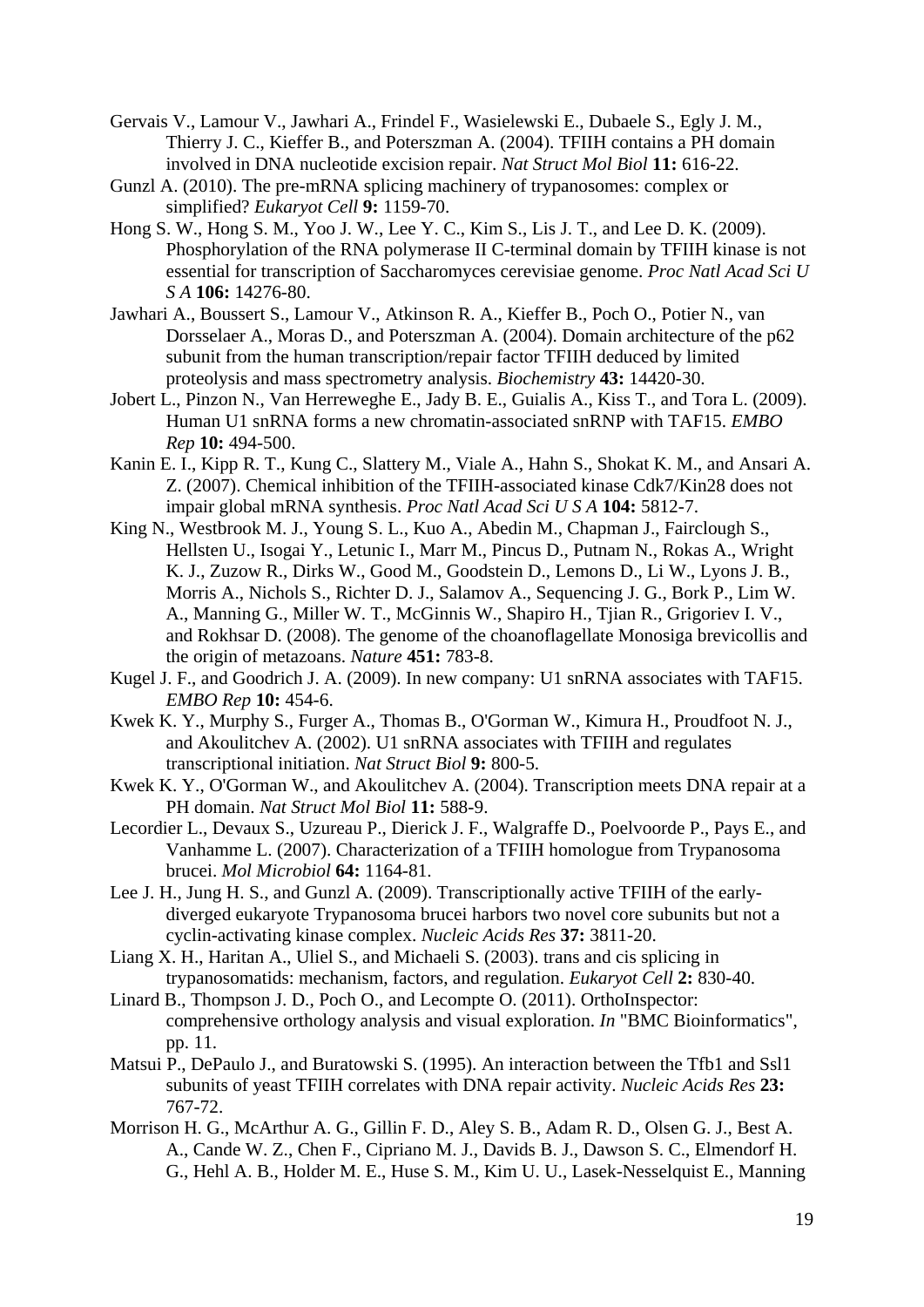- Gervais V., Lamour V., Jawhari A., Frindel F., Wasielewski E., Dubaele S., Egly J. M., Thierry J. C., Kieffer B., and Poterszman A. (2004). TFIIH contains a PH domain involved in DNA nucleotide excision repair. *Nat Struct Mol Biol* **11:** 616-22.
- Gunzl A. (2010). The pre-mRNA splicing machinery of trypanosomes: complex or simplified? *Eukaryot Cell* **9:** 1159-70.
- Hong S. W., Hong S. M., Yoo J. W., Lee Y. C., Kim S., Lis J. T., and Lee D. K. (2009). Phosphorylation of the RNA polymerase II C-terminal domain by TFIIH kinase is not essential for transcription of Saccharomyces cerevisiae genome. *Proc Natl Acad Sci U S A* **106:** 14276-80.
- Jawhari A., Boussert S., Lamour V., Atkinson R. A., Kieffer B., Poch O., Potier N., van Dorsselaer A., Moras D., and Poterszman A. (2004). Domain architecture of the p62 subunit from the human transcription/repair factor TFIIH deduced by limited proteolysis and mass spectrometry analysis. *Biochemistry* **43:** 14420-30.
- Jobert L., Pinzon N., Van Herreweghe E., Jady B. E., Guialis A., Kiss T., and Tora L. (2009). Human U1 snRNA forms a new chromatin-associated snRNP with TAF15. *EMBO Rep* **10:** 494-500.
- Kanin E. I., Kipp R. T., Kung C., Slattery M., Viale A., Hahn S., Shokat K. M., and Ansari A. Z. (2007). Chemical inhibition of the TFIIH-associated kinase Cdk7/Kin28 does not impair global mRNA synthesis. *Proc Natl Acad Sci U S A* **104:** 5812-7.
- King N., Westbrook M. J., Young S. L., Kuo A., Abedin M., Chapman J., Fairclough S., Hellsten U., Isogai Y., Letunic I., Marr M., Pincus D., Putnam N., Rokas A., Wright K. J., Zuzow R., Dirks W., Good M., Goodstein D., Lemons D., Li W., Lyons J. B., Morris A., Nichols S., Richter D. J., Salamov A., Sequencing J. G., Bork P., Lim W. A., Manning G., Miller W. T., McGinnis W., Shapiro H., Tjian R., Grigoriev I. V., and Rokhsar D. (2008). The genome of the choanoflagellate Monosiga brevicollis and the origin of metazoans. *Nature* **451:** 783-8.
- Kugel J. F., and Goodrich J. A. (2009). In new company: U1 snRNA associates with TAF15. *EMBO Rep* **10:** 454-6.
- Kwek K. Y., Murphy S., Furger A., Thomas B., O'Gorman W., Kimura H., Proudfoot N. J., and Akoulitchev A. (2002). U1 snRNA associates with TFIIH and regulates transcriptional initiation. *Nat Struct Biol* **9:** 800-5.
- Kwek K. Y., O'Gorman W., and Akoulitchev A. (2004). Transcription meets DNA repair at a PH domain. *Nat Struct Mol Biol* **11:** 588-9.
- Lecordier L., Devaux S., Uzureau P., Dierick J. F., Walgraffe D., Poelvoorde P., Pays E., and Vanhamme L. (2007). Characterization of a TFIIH homologue from Trypanosoma brucei. *Mol Microbiol* **64:** 1164-81.
- Lee J. H., Jung H. S., and Gunzl A. (2009). Transcriptionally active TFIIH of the earlydiverged eukaryote Trypanosoma brucei harbors two novel core subunits but not a cyclin-activating kinase complex. *Nucleic Acids Res* **37:** 3811-20.
- Liang X. H., Haritan A., Uliel S., and Michaeli S. (2003). trans and cis splicing in trypanosomatids: mechanism, factors, and regulation. *Eukaryot Cell* **2:** 830-40.
- Linard B., Thompson J. D., Poch O., and Lecompte O. (2011). OrthoInspector: comprehensive orthology analysis and visual exploration. *In* "BMC Bioinformatics", pp. 11.
- Matsui P., DePaulo J., and Buratowski S. (1995). An interaction between the Tfb1 and Ssl1 subunits of yeast TFIIH correlates with DNA repair activity. *Nucleic Acids Res* **23:** 767-72.
- Morrison H. G., McArthur A. G., Gillin F. D., Aley S. B., Adam R. D., Olsen G. J., Best A. A., Cande W. Z., Chen F., Cipriano M. J., Davids B. J., Dawson S. C., Elmendorf H. G., Hehl A. B., Holder M. E., Huse S. M., Kim U. U., Lasek-Nesselquist E., Manning